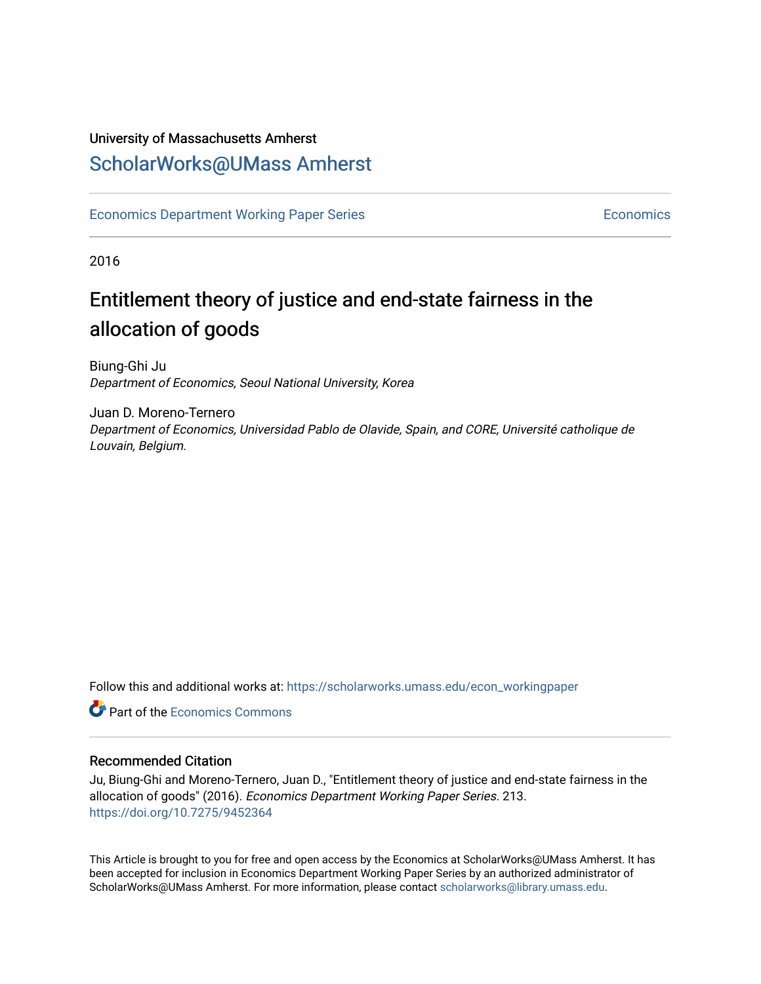## University of Massachusetts Amherst [ScholarWorks@UMass Amherst](https://scholarworks.umass.edu/)

[Economics Department Working Paper Series](https://scholarworks.umass.edu/econ_workingpaper) **Economics** [Economics](https://scholarworks.umass.edu/economics) Economics

2016

## Entitlement theory of justice and end-state fairness in the allocation of goods

Biung-Ghi Ju Department of Economics, Seoul National University, Korea

Juan D. Moreno-Ternero Department of Economics, Universidad Pablo de Olavide, Spain, and CORE, Université catholique de Louvain, Belgium.

Follow this and additional works at: [https://scholarworks.umass.edu/econ\\_workingpaper](https://scholarworks.umass.edu/econ_workingpaper?utm_source=scholarworks.umass.edu%2Fecon_workingpaper%2F213&utm_medium=PDF&utm_campaign=PDFCoverPages) 

**C** Part of the [Economics Commons](http://network.bepress.com/hgg/discipline/340?utm_source=scholarworks.umass.edu%2Fecon_workingpaper%2F213&utm_medium=PDF&utm_campaign=PDFCoverPages)

#### Recommended Citation

Ju, Biung-Ghi and Moreno-Ternero, Juan D., "Entitlement theory of justice and end-state fairness in the allocation of goods" (2016). Economics Department Working Paper Series. 213. <https://doi.org/10.7275/9452364>

This Article is brought to you for free and open access by the Economics at ScholarWorks@UMass Amherst. It has been accepted for inclusion in Economics Department Working Paper Series by an authorized administrator of ScholarWorks@UMass Amherst. For more information, please contact [scholarworks@library.umass.edu.](mailto:scholarworks@library.umass.edu)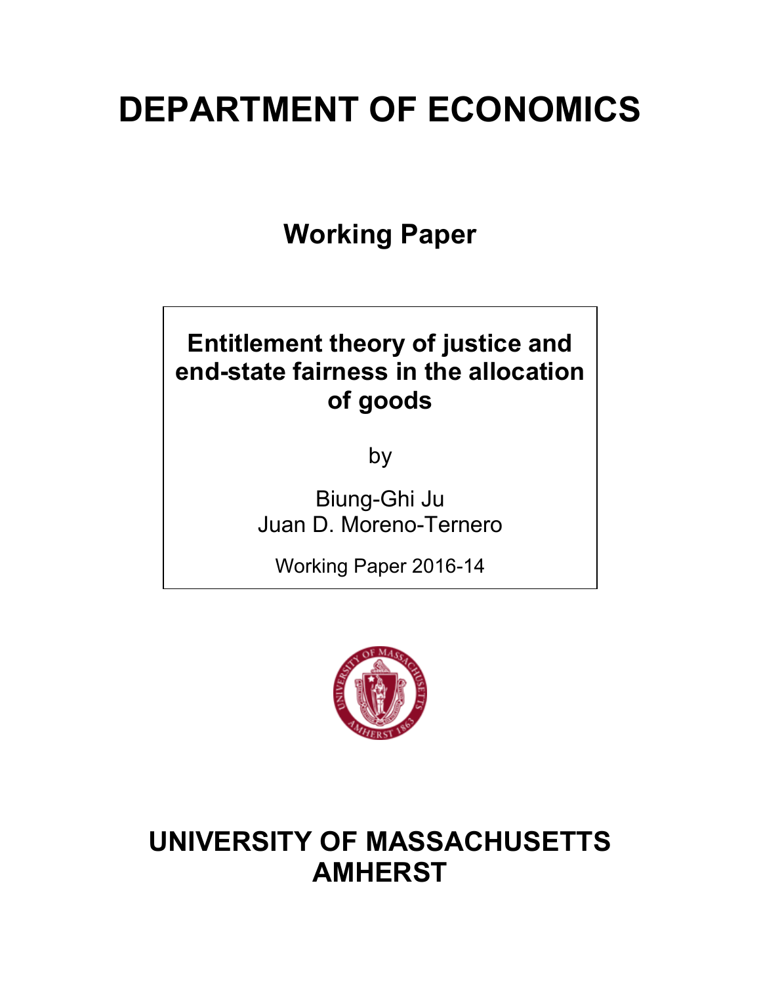# **DEPARTMENT OF ECONOMICS**

**Working Paper**

## **Entitlement theory of justice and end-state fairness in the allocation of goods**

by

Biung-Ghi Ju Juan D. Moreno-Ternero

Working Paper 2016-14



## **UNIVERSITY OF MASSACHUSETTS AMHERST**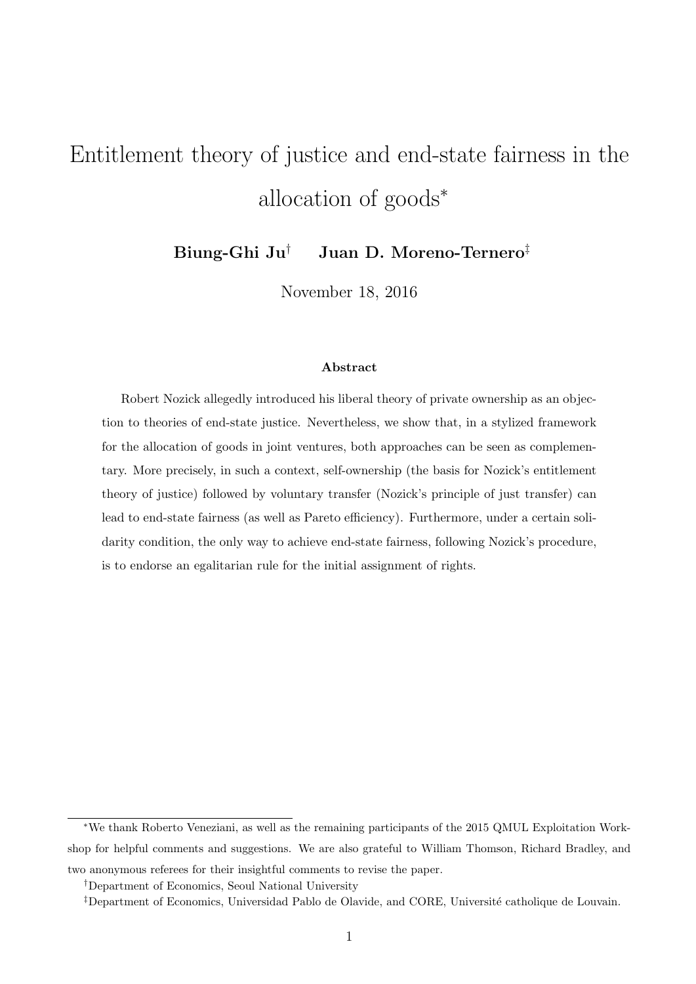## Entitlement theory of justice and end-state fairness in the allocation of goods<sup>\*</sup>

Biung-Ghi Ju*†* Juan D. Moreno-Ternero*‡*

November 18, 2016

#### Abstract

Robert Nozick allegedly introduced his liberal theory of private ownership as an objection to theories of end-state justice. Nevertheless, we show that, in a stylized framework for the allocation of goods in joint ventures, both approaches can be seen as complementary. More precisely, in such a context, self-ownership (the basis for Nozick's entitlement theory of justice) followed by voluntary transfer (Nozick's principle of just transfer) can lead to end-state fairness (as well as Pareto efficiency). Furthermore, under a certain solidarity condition, the only way to achieve end-state fairness, following Nozick's procedure, is to endorse an egalitarian rule for the initial assignment of rights.

<sup>⇤</sup>We thank Roberto Veneziani, as well as the remaining participants of the 2015 QMUL Exploitation Workshop for helpful comments and suggestions. We are also grateful to William Thomson, Richard Bradley, and two anonymous referees for their insightful comments to revise the paper.

*<sup>†</sup>*Department of Economics, Seoul National University

<sup>&</sup>lt;sup>‡</sup>Department of Economics, Universidad Pablo de Olavide, and CORE, Université catholique de Louvain.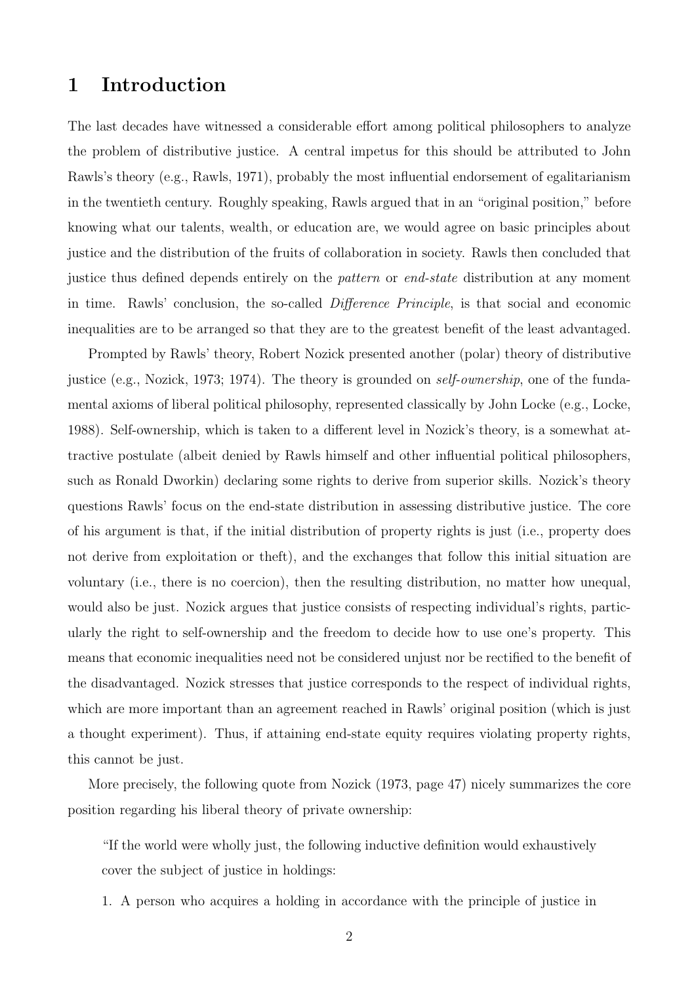## 1 Introduction

The last decades have witnessed a considerable effort among political philosophers to analyze the problem of distributive justice. A central impetus for this should be attributed to John Rawls's theory (e.g., Rawls, 1971), probably the most influential endorsement of egalitarianism in the twentieth century. Roughly speaking, Rawls argued that in an "original position," before knowing what our talents, wealth, or education are, we would agree on basic principles about justice and the distribution of the fruits of collaboration in society. Rawls then concluded that justice thus defined depends entirely on the *pattern* or *end-state* distribution at any moment in time. Rawls' conclusion, the so-called *Difference Principle*, is that social and economic inequalities are to be arranged so that they are to the greatest benefit of the least advantaged.

Prompted by Rawls' theory, Robert Nozick presented another (polar) theory of distributive justice (e.g., Nozick, 1973; 1974). The theory is grounded on *self-ownership*, one of the fundamental axioms of liberal political philosophy, represented classically by John Locke (e.g., Locke, 1988). Self-ownership, which is taken to a different level in Nozick's theory, is a somewhat attractive postulate (albeit denied by Rawls himself and other influential political philosophers, such as Ronald Dworkin) declaring some rights to derive from superior skills. Nozick's theory questions Rawls' focus on the end-state distribution in assessing distributive justice. The core of his argument is that, if the initial distribution of property rights is just (i.e., property does not derive from exploitation or theft), and the exchanges that follow this initial situation are voluntary (i.e., there is no coercion), then the resulting distribution, no matter how unequal, would also be just. Nozick argues that justice consists of respecting individual's rights, particularly the right to self-ownership and the freedom to decide how to use one's property. This means that economic inequalities need not be considered unjust nor be rectified to the benefit of the disadvantaged. Nozick stresses that justice corresponds to the respect of individual rights, which are more important than an agreement reached in Rawls' original position (which is just a thought experiment). Thus, if attaining end-state equity requires violating property rights, this cannot be just.

More precisely, the following quote from Nozick (1973, page 47) nicely summarizes the core position regarding his liberal theory of private ownership:

"If the world were wholly just, the following inductive definition would exhaustively cover the subject of justice in holdings:

1. A person who acquires a holding in accordance with the principle of justice in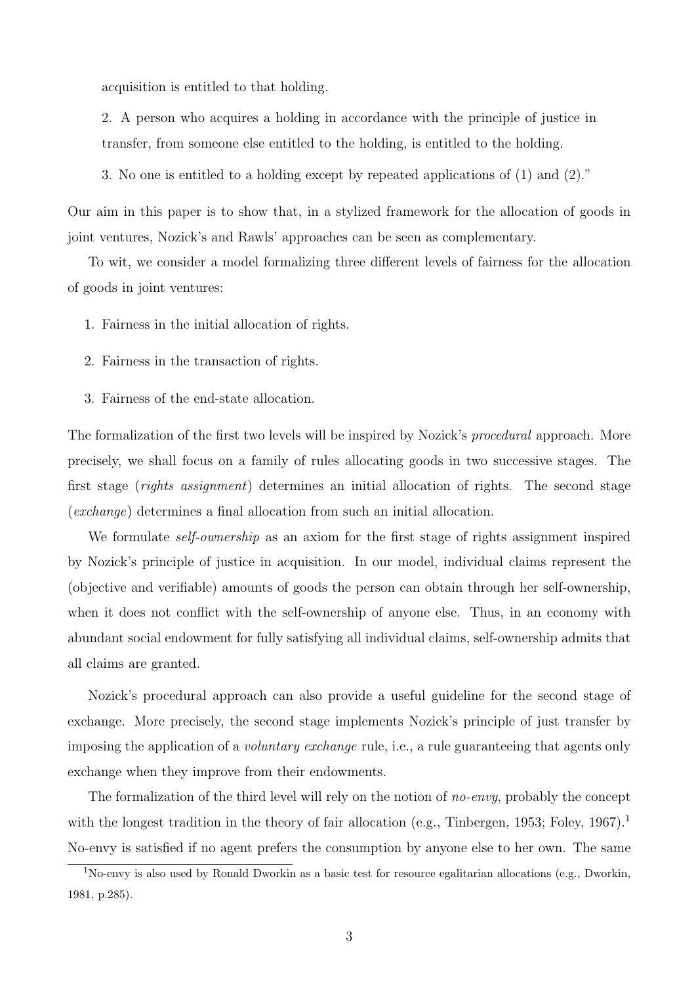acquisition is entitled to that holding.

2. A person who acquires a holding in accordance with the principle of justice in transfer, from someone else entitled to the holding, is entitled to the holding.

3. No one is entitled to a holding except by repeated applications of (1) and (2)."

Our aim in this paper is to show that, in a stylized framework for the allocation of goods in joint ventures, Nozick's and Rawls' approaches can be seen as complementary.

To wit, we consider a model formalizing three different levels of fairness for the allocation of goods in joint ventures:

- 1. Fairness in the initial allocation of rights.
- 2. Fairness in the transaction of rights.
- 3. Fairness of the end-state allocation.

The formalization of the first two levels will be inspired by Nozick's *procedural* approach. More precisely, we shall focus on a family of rules allocating goods in two successive stages. The first stage (*rights assignment*) determines an initial allocation of rights. The second stage (*exchange*) determines a final allocation from such an initial allocation.

We formulate *self-ownership* as an axiom for the first stage of rights assignment inspired by Nozick's principle of justice in acquisition. In our model, individual claims represent the (objective and verifiable) amounts of goods the person can obtain through her self-ownership, when it does not conflict with the self-ownership of anyone else. Thus, in an economy with abundant social endowment for fully satisfying all individual claims, self-ownership admits that all claims are granted.

Nozick's procedural approach can also provide a useful guideline for the second stage of exchange. More precisely, the second stage implements Nozick's principle of just transfer by imposing the application of a *voluntary exchange* rule, i.e., a rule guaranteeing that agents only exchange when they improve from their endowments.

The formalization of the third level will rely on the notion of *no-envy*, probably the concept with the longest tradition in the theory of fair allocation (e.g., Tinbergen, 1953; Foley, 1967).<sup>1</sup> No-envy is satisfied if no agent prefers the consumption by anyone else to her own. The same

<sup>1</sup>No-envy is also used by Ronald Dworkin as a basic test for resource egalitarian allocations (e.g., Dworkin, 1981, p.285).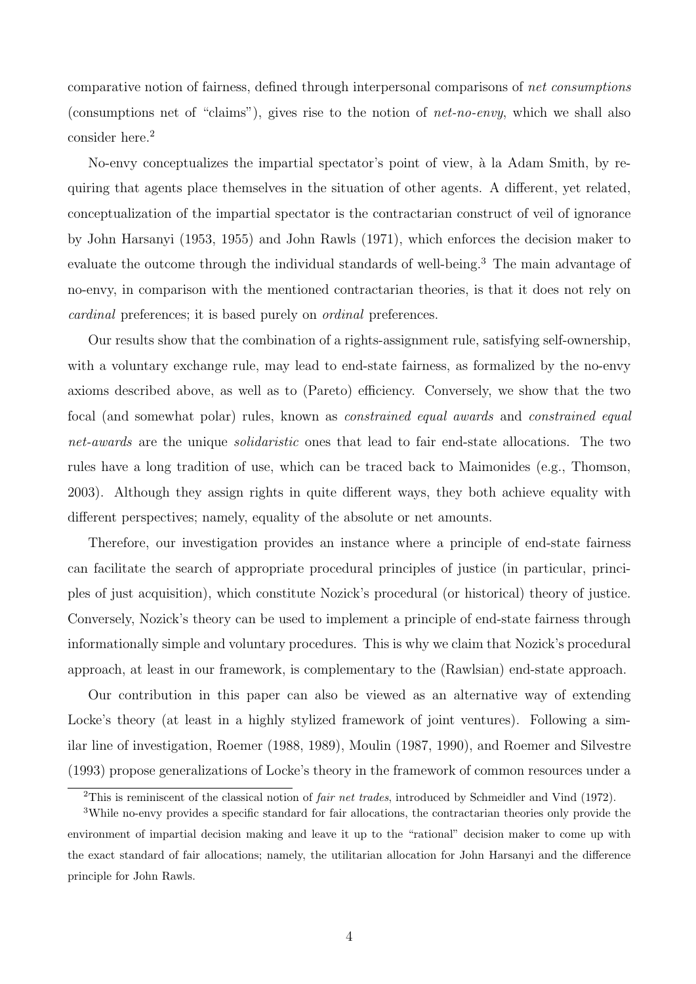comparative notion of fairness, defined through interpersonal comparisons of *net consumptions* (consumptions net of "claims"), gives rise to the notion of *net-no-envy*, which we shall also consider here.<sup>2</sup>

No-envy conceptualizes the impartial spectator's point of view, à la Adam Smith, by requiring that agents place themselves in the situation of other agents. A different, yet related, conceptualization of the impartial spectator is the contractarian construct of veil of ignorance by John Harsanyi (1953, 1955) and John Rawls (1971), which enforces the decision maker to evaluate the outcome through the individual standards of well-being.<sup>3</sup> The main advantage of no-envy, in comparison with the mentioned contractarian theories, is that it does not rely on *cardinal* preferences; it is based purely on *ordinal* preferences.

Our results show that the combination of a rights-assignment rule, satisfying self-ownership, with a voluntary exchange rule, may lead to end-state fairness, as formalized by the no-envy axioms described above, as well as to (Pareto) efficiency. Conversely, we show that the two focal (and somewhat polar) rules, known as *constrained equal awards* and *constrained equal net-awards* are the unique *solidaristic* ones that lead to fair end-state allocations. The two rules have a long tradition of use, which can be traced back to Maimonides (e.g., Thomson, 2003). Although they assign rights in quite different ways, they both achieve equality with different perspectives; namely, equality of the absolute or net amounts.

Therefore, our investigation provides an instance where a principle of end-state fairness can facilitate the search of appropriate procedural principles of justice (in particular, principles of just acquisition), which constitute Nozick's procedural (or historical) theory of justice. Conversely, Nozick's theory can be used to implement a principle of end-state fairness through informationally simple and voluntary procedures. This is why we claim that Nozick's procedural approach, at least in our framework, is complementary to the (Rawlsian) end-state approach.

Our contribution in this paper can also be viewed as an alternative way of extending Locke's theory (at least in a highly stylized framework of joint ventures). Following a similar line of investigation, Roemer (1988, 1989), Moulin (1987, 1990), and Roemer and Silvestre (1993) propose generalizations of Locke's theory in the framework of common resources under a

<sup>2</sup>This is reminiscent of the classical notion of *fair net trades*, introduced by Schmeidler and Vind (1972).

<sup>3</sup>While no-envy provides a specific standard for fair allocations, the contractarian theories only provide the environment of impartial decision making and leave it up to the "rational" decision maker to come up with the exact standard of fair allocations; namely, the utilitarian allocation for John Harsanyi and the difference principle for John Rawls.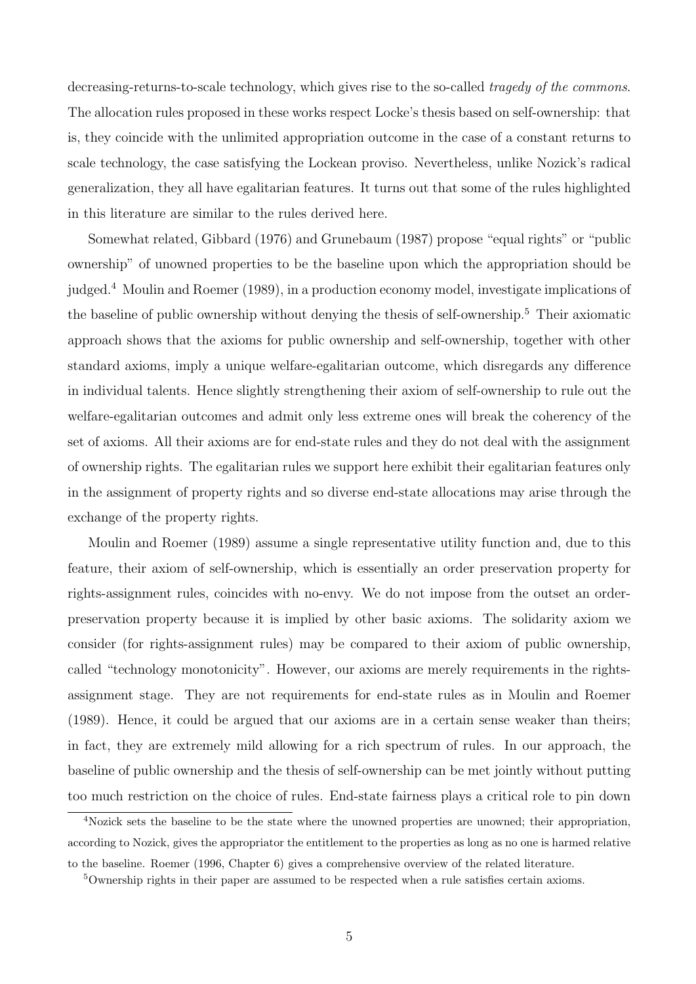decreasing-returns-to-scale technology, which gives rise to the so-called *tragedy of the commons*. The allocation rules proposed in these works respect Locke's thesis based on self-ownership: that is, they coincide with the unlimited appropriation outcome in the case of a constant returns to scale technology, the case satisfying the Lockean proviso. Nevertheless, unlike Nozick's radical generalization, they all have egalitarian features. It turns out that some of the rules highlighted in this literature are similar to the rules derived here.

Somewhat related, Gibbard (1976) and Grunebaum (1987) propose "equal rights" or "public ownership" of unowned properties to be the baseline upon which the appropriation should be judged.<sup>4</sup> Moulin and Roemer (1989), in a production economy model, investigate implications of the baseline of public ownership without denying the thesis of self-ownership.<sup>5</sup> Their axiomatic approach shows that the axioms for public ownership and self-ownership, together with other standard axioms, imply a unique welfare-egalitarian outcome, which disregards any difference in individual talents. Hence slightly strengthening their axiom of self-ownership to rule out the welfare-egalitarian outcomes and admit only less extreme ones will break the coherency of the set of axioms. All their axioms are for end-state rules and they do not deal with the assignment of ownership rights. The egalitarian rules we support here exhibit their egalitarian features only in the assignment of property rights and so diverse end-state allocations may arise through the exchange of the property rights.

Moulin and Roemer (1989) assume a single representative utility function and, due to this feature, their axiom of self-ownership, which is essentially an order preservation property for rights-assignment rules, coincides with no-envy. We do not impose from the outset an orderpreservation property because it is implied by other basic axioms. The solidarity axiom we consider (for rights-assignment rules) may be compared to their axiom of public ownership, called "technology monotonicity". However, our axioms are merely requirements in the rightsassignment stage. They are not requirements for end-state rules as in Moulin and Roemer (1989). Hence, it could be argued that our axioms are in a certain sense weaker than theirs; in fact, they are extremely mild allowing for a rich spectrum of rules. In our approach, the baseline of public ownership and the thesis of self-ownership can be met jointly without putting too much restriction on the choice of rules. End-state fairness plays a critical role to pin down

<sup>4</sup>Nozick sets the baseline to be the state where the unowned properties are unowned; their appropriation, according to Nozick, gives the appropriator the entitlement to the properties as long as no one is harmed relative to the baseline. Roemer (1996, Chapter 6) gives a comprehensive overview of the related literature.

<sup>5</sup>Ownership rights in their paper are assumed to be respected when a rule satisfies certain axioms.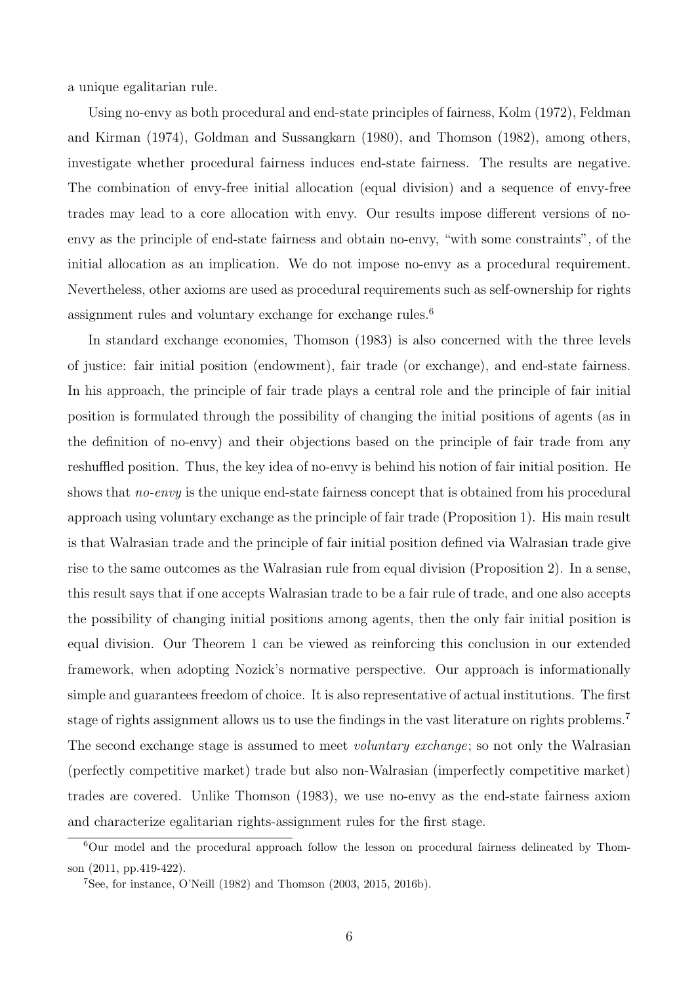a unique egalitarian rule.

Using no-envy as both procedural and end-state principles of fairness, Kolm (1972), Feldman and Kirman (1974), Goldman and Sussangkarn (1980), and Thomson (1982), among others, investigate whether procedural fairness induces end-state fairness. The results are negative. The combination of envy-free initial allocation (equal division) and a sequence of envy-free trades may lead to a core allocation with envy. Our results impose different versions of noenvy as the principle of end-state fairness and obtain no-envy, "with some constraints", of the initial allocation as an implication. We do not impose no-envy as a procedural requirement. Nevertheless, other axioms are used as procedural requirements such as self-ownership for rights assignment rules and voluntary exchange for exchange rules.<sup>6</sup>

In standard exchange economies, Thomson (1983) is also concerned with the three levels of justice: fair initial position (endowment), fair trade (or exchange), and end-state fairness. In his approach, the principle of fair trade plays a central role and the principle of fair initial position is formulated through the possibility of changing the initial positions of agents (as in the definition of no-envy) and their objections based on the principle of fair trade from any reshuffled position. Thus, the key idea of no-envy is behind his notion of fair initial position. He shows that *no-envy* is the unique end-state fairness concept that is obtained from his procedural approach using voluntary exchange as the principle of fair trade (Proposition 1). His main result is that Walrasian trade and the principle of fair initial position defined via Walrasian trade give rise to the same outcomes as the Walrasian rule from equal division (Proposition 2). In a sense, this result says that if one accepts Walrasian trade to be a fair rule of trade, and one also accepts the possibility of changing initial positions among agents, then the only fair initial position is equal division. Our Theorem 1 can be viewed as reinforcing this conclusion in our extended framework, when adopting Nozick's normative perspective. Our approach is informationally simple and guarantees freedom of choice. It is also representative of actual institutions. The first stage of rights assignment allows us to use the findings in the vast literature on rights problems.<sup>7</sup> The second exchange stage is assumed to meet *voluntary exchange*; so not only the Walrasian (perfectly competitive market) trade but also non-Walrasian (imperfectly competitive market) trades are covered. Unlike Thomson (1983), we use no-envy as the end-state fairness axiom and characterize egalitarian rights-assignment rules for the first stage.

 $6$ Our model and the procedural approach follow the lesson on procedural fairness delineated by Thomson (2011, pp.419-422).

<sup>&</sup>lt;sup>7</sup>See, for instance, O'Neill  $(1982)$  and Thomson  $(2003, 2015, 2016b)$ .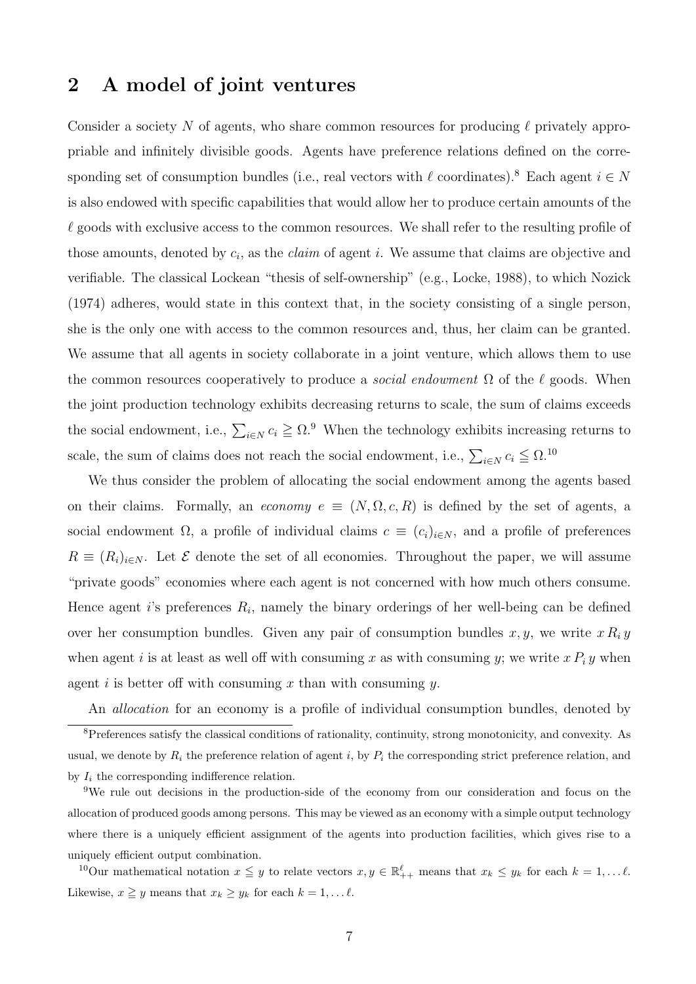## 2 A model of joint ventures

Consider a society N of agents, who share common resources for producing  $\ell$  privately appropriable and infinitely divisible goods. Agents have preference relations defined on the corresponding set of consumption bundles (i.e., real vectors with  $\ell$  coordinates).<sup>8</sup> Each agent  $i \in N$ is also endowed with specific capabilities that would allow her to produce certain amounts of the  $\ell$  goods with exclusive access to the common resources. We shall refer to the resulting profile of those amounts, denoted by *ci*, as the *claim* of agent *i*. We assume that claims are objective and verifiable. The classical Lockean "thesis of self-ownership" (e.g., Locke, 1988), to which Nozick (1974) adheres, would state in this context that, in the society consisting of a single person, she is the only one with access to the common resources and, thus, her claim can be granted. We assume that all agents in society collaborate in a joint venture, which allows them to use the common resources cooperatively to produce a *social endowment*  $\Omega$  of the  $\ell$  goods. When the joint production technology exhibits decreasing returns to scale, the sum of claims exceeds the social endowment, i.e.,  $\sum_{i \in N} c_i \geq \Omega$ .<sup>9</sup> When the technology exhibits increasing returns to scale, the sum of claims does not reach the social endowment, i.e.,  $\sum_{i \in N} c_i \leq \Omega$ .<sup>10</sup>

We thus consider the problem of allocating the social endowment among the agents based on their claims. Formally, an *economy*  $e \equiv (N, \Omega, c, R)$  is defined by the set of agents, a social endowment  $\Omega$ , a profile of individual claims  $c \equiv (c_i)_{i \in N}$ , and a profile of preferences  $R \equiv (R_i)_{i \in N}$ . Let  $\mathcal E$  denote the set of all economies. Throughout the paper, we will assume "private goods" economies where each agent is not concerned with how much others consume. Hence agent *i*'s preferences *Ri*, namely the binary orderings of her well-being can be defined over her consumption bundles. Given any pair of consumption bundles  $x, y$ , we write  $x R_i y$ when agent *i* is at least as well off with consuming *x* as with consuming *y*; we write  $x P_i y$  when agent *i* is better off with consuming *x* than with consuming *y*.

An *allocation* for an economy is a profile of individual consumption bundles, denoted by <sup>8</sup>Preferences satisfy the classical conditions of rationality, continuity, strong monotonicity, and convexity. As usual, we denote by  $R_i$  the preference relation of agent  $i$ , by  $P_i$  the corresponding strict preference relation, and by  $I_i$  the corresponding indifference relation.

<sup>9</sup>We rule out decisions in the production-side of the economy from our consideration and focus on the allocation of produced goods among persons. This may be viewed as an economy with a simple output technology where there is a uniquely efficient assignment of the agents into production facilities, which gives rise to a uniquely efficient output combination.

<sup>10</sup>Our mathematical notation  $x \leq y$  to relate vectors  $x, y \in \mathbb{R}^{\ell}_{++}$  means that  $x_k \leq y_k$  for each  $k = 1, \ldots \ell$ . Likewise,  $x \geq y$  means that  $x_k \geq y_k$  for each  $k = 1, \ldots \ell$ .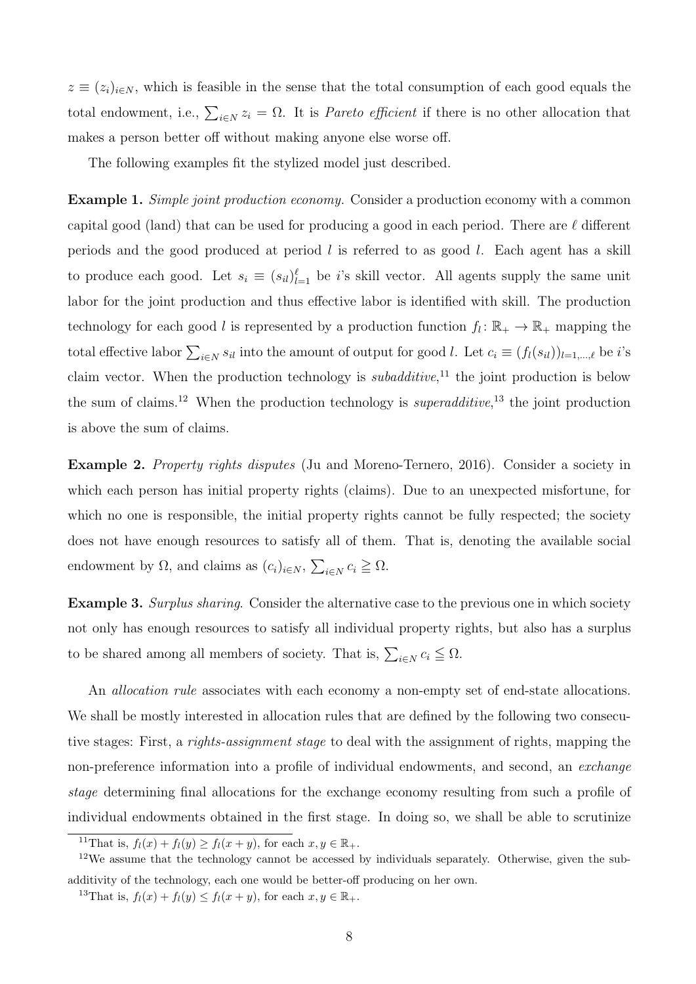$z \equiv (z_i)_{i \in N}$ , which is feasible in the sense that the total consumption of each good equals the total endowment, i.e.,  $\sum_{i \in N} z_i = \Omega$ . It is *Pareto efficient* if there is no other allocation that makes a person better off without making anyone else worse off.

The following examples fit the stylized model just described.

Example 1. *Simple joint production economy.* Consider a production economy with a common capital good (land) that can be used for producing a good in each period. There are  $\ell$  different periods and the good produced at period *l* is referred to as good *l*. Each agent has a skill to produce each good. Let  $s_i \equiv (s_i)_{i=1}^{\ell}$  be *i*'s skill vector. All agents supply the same unit labor for the joint production and thus effective labor is identified with skill. The production technology for each good *l* is represented by a production function  $f_l: \mathbb{R}_+ \to \mathbb{R}_+$  mapping the total effective labor  $\sum_{i \in N} s_i$  into the amount of output for good *l*. Let  $c_i \equiv (f_i(s_{i_l}))_{l=1,\dots,\ell}$  be *i*'s claim vector. When the production technology is *subadditive*, <sup>11</sup> the joint production is below the sum of claims.<sup>12</sup> When the production technology is *superadditive*, <sup>13</sup> the joint production is above the sum of claims.

Example 2. *Property rights disputes* (Ju and Moreno-Ternero, 2016). Consider a society in which each person has initial property rights (claims). Due to an unexpected misfortune, for which no one is responsible, the initial property rights cannot be fully respected; the society does not have enough resources to satisfy all of them. That is, denoting the available social endowment by  $\Omega$ , and claims as  $(c_i)_{i \in N}, \sum_{i \in N} c_i \geq \Omega$ .

Example 3. *Surplus sharing*. Consider the alternative case to the previous one in which society not only has enough resources to satisfy all individual property rights, but also has a surplus to be shared among all members of society. That is,  $\sum_{i \in N} c_i \leq \Omega$ .

An *allocation rule* associates with each economy a non-empty set of end-state allocations. We shall be mostly interested in allocation rules that are defined by the following two consecutive stages: First, a *rights-assignment stage* to deal with the assignment of rights, mapping the non-preference information into a profile of individual endowments, and second, an *exchange stage* determining final allocations for the exchange economy resulting from such a profile of individual endowments obtained in the first stage. In doing so, we shall be able to scrutinize

<sup>&</sup>lt;sup>11</sup>That is,  $f_l(x) + f_l(y) \ge f_l(x + y)$ , for each  $x, y \in \mathbb{R}_+$ .

<sup>&</sup>lt;sup>12</sup>We assume that the technology cannot be accessed by individuals separately. Otherwise, given the subadditivity of the technology, each one would be better-off producing on her own.

<sup>&</sup>lt;sup>13</sup>That is,  $f_l(x) + f_l(y) \le f_l(x + y)$ , for each  $x, y \in \mathbb{R}_+$ .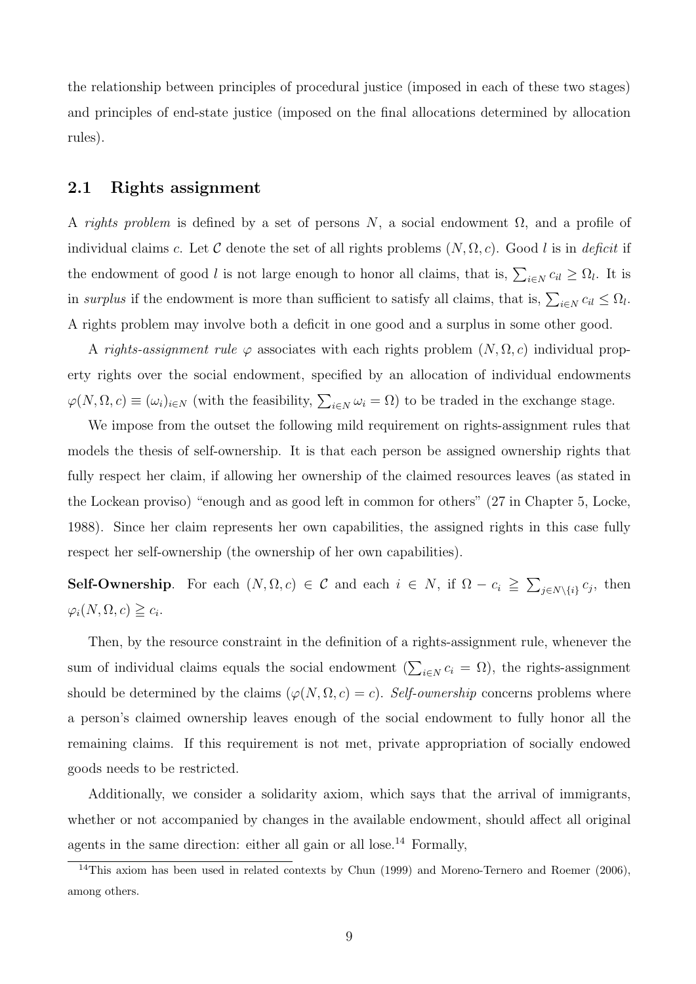the relationship between principles of procedural justice (imposed in each of these two stages) and principles of end-state justice (imposed on the final allocations determined by allocation rules).

#### 2.1 Rights assignment

A *rights problem* is defined by a set of persons N, a social endowment  $\Omega$ , and a profile of individual claims c. Let C denote the set of all rights problems  $(N, \Omega, c)$ . Good l is in *deficit* if the endowment of good *l* is not large enough to honor all claims, that is,  $\sum_{i \in N} c_{i} \geq \Omega_l$ . It is in *surplus* if the endowment is more than sufficient to satisfy all claims, that is,  $\sum_{i \in N} c_{i} \leq \Omega_l$ . A rights problem may involve both a deficit in one good and a surplus in some other good.

A *rights-assignment rule*  $\varphi$  associates with each rights problem  $(N, \Omega, c)$  individual property rights over the social endowment, specified by an allocation of individual endowments  $\varphi(N, \Omega, c) \equiv (\omega_i)_{i \in N}$  (with the feasibility,  $\sum_{i \in N} \omega_i = \Omega$ ) to be traded in the exchange stage.

We impose from the outset the following mild requirement on rights-assignment rules that models the thesis of self-ownership. It is that each person be assigned ownership rights that fully respect her claim, if allowing her ownership of the claimed resources leaves (as stated in the Lockean proviso) "enough and as good left in common for others" (27 in Chapter 5, Locke, 1988). Since her claim represents her own capabilities, the assigned rights in this case fully respect her self-ownership (the ownership of her own capabilities).

Self-Ownership. For each  $(N, \Omega, c) \in \mathcal{C}$  and each  $i \in N$ , if  $\Omega - c_i \geqq \sum_{j \in N \setminus \{i\}} c_j$ , then  $\varphi_i(N, \Omega, c) \geqq c_i.$ 

Then, by the resource constraint in the definition of a rights-assignment rule, whenever the sum of individual claims equals the social endowment  $(\sum_{i \in N} c_i = \Omega)$ , the rights-assignment should be determined by the claims  $(\varphi(N, \Omega, c) = c)$ . *Self-ownership* concerns problems where a person's claimed ownership leaves enough of the social endowment to fully honor all the remaining claims. If this requirement is not met, private appropriation of socially endowed goods needs to be restricted.

Additionally, we consider a solidarity axiom, which says that the arrival of immigrants, whether or not accompanied by changes in the available endowment, should affect all original agents in the same direction: either all gain or all lose.<sup>14</sup> Formally,

<sup>&</sup>lt;sup>14</sup>This axiom has been used in related contexts by Chun (1999) and Moreno-Ternero and Roemer (2006), among others.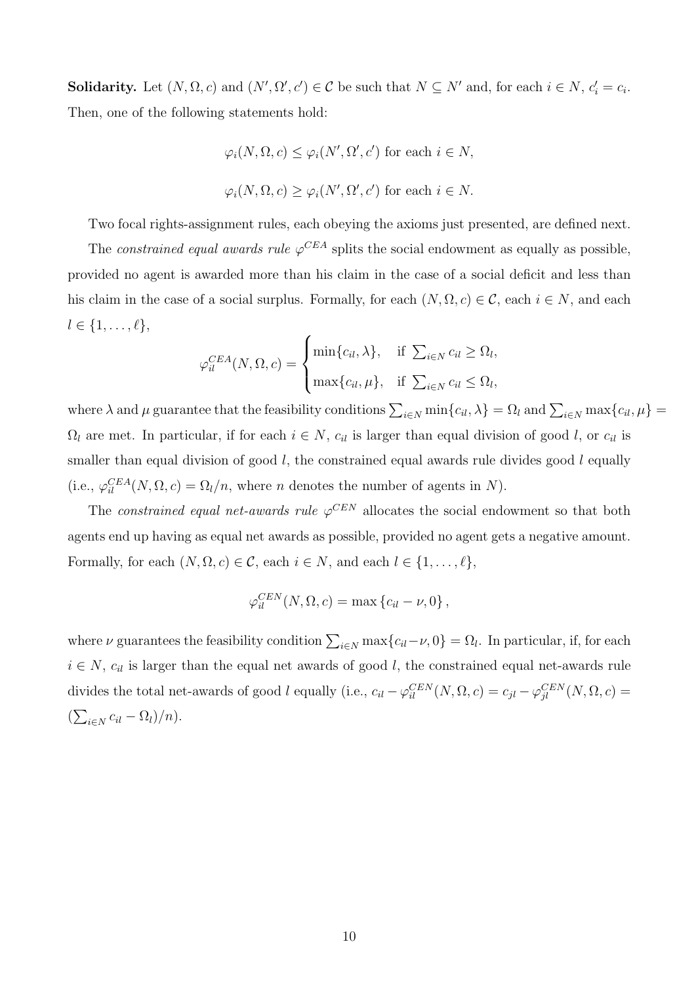**Solidarity.** Let  $(N, \Omega, c)$  and  $(N', \Omega', c') \in \mathcal{C}$  be such that  $N \subseteq N'$  and, for each  $i \in N$ ,  $c'_i = c_i$ . Then, one of the following statements hold:

$$
\varphi_i(N, \Omega, c) \leq \varphi_i(N', \Omega', c')
$$
 for each  $i \in N$ ,  
 $\varphi_i(N, \Omega, c) \geq \varphi_i(N', \Omega', c')$  for each  $i \in N$ .

Two focal rights-assignment rules, each obeying the axioms just presented, are defined next.

The *constrained equal awards rule*  $\varphi^{CEA}$  splits the social endowment as equally as possible, provided no agent is awarded more than his claim in the case of a social deficit and less than his claim in the case of a social surplus. Formally, for each  $(N, \Omega, c) \in \mathcal{C}$ , each  $i \in N$ , and each  $l \in \{1, \ldots, \ell\},\$ 

$$
\varphi_{il}^{CEA}(N,\Omega,c) = \begin{cases} \min\{c_{il},\lambda\}, & \text{if } \sum_{i \in N} c_{il} \geq \Omega_l, \\ \max\{c_{il},\mu\}, & \text{if } \sum_{i \in N} c_{il} \leq \Omega_l, \end{cases}
$$

where  $\lambda$  and  $\mu$  guarantee that the feasibility conditions  $\sum_{i\in N} \min\{c_{il}, \lambda\} = \Omega_l$  and  $\sum_{i\in N} \max\{c_{il}, \mu\} =$  $\Omega_l$  are met. In particular, if for each  $i \in N$ ,  $c_{il}$  is larger than equal division of good *l*, or  $c_{il}$  is smaller than equal division of good *l*, the constrained equal awards rule divides good *l* equally (i.e.,  $\varphi_{il}^{CEA}(N, \Omega, c) = \Omega_l/n$ , where *n* denotes the number of agents in *N*).

The *constrained equal net-awards rule*  $\varphi^{CEN}$  allocates the social endowment so that both agents end up having as equal net awards as possible, provided no agent gets a negative amount. Formally, for each  $(N, \Omega, c) \in \mathcal{C}$ , each  $i \in N$ , and each  $l \in \{1, \ldots, \ell\}$ ,

$$
\varphi_{il}^{CEN}(N,\Omega,c) = \max\left\{c_{il} - \nu, 0\right\},\,
$$

where  $\nu$  guarantees the feasibility condition  $\sum_{i \in N} \max\{c_{i l} - \nu, 0\} = \Omega_l$ . In particular, if, for each  $i \in N$ ,  $c_{il}$  is larger than the equal net awards of good *l*, the constrained equal net-awards rule divides the total net-awards of good *l* equally (i.e.,  $c_{il} - \varphi_{il}^{CEN}(N, \Omega, c) = c_{jl} - \varphi_{jl}^{CEN}(N, \Omega, c) =$  $\left(\sum_{i \in N} c_{il} - \Omega_l\right)/n$ .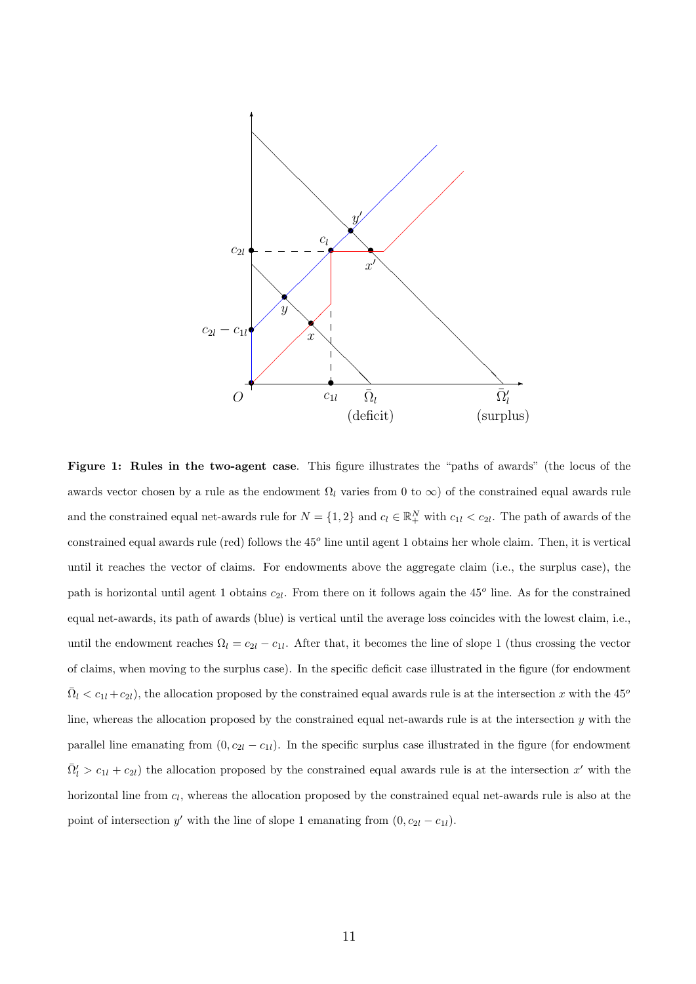

Figure 1: Rules in the two-agent case. This figure illustrates the "paths of awards" (the locus of the awards vector chosen by a rule as the endowment  $\Omega_l$  varies from 0 to  $\infty$ ) of the constrained equal awards rule and the constrained equal net-awards rule for  $N = \{1, 2\}$  and  $c_l \in \mathbb{R}^N_+$  with  $c_{1l} < c_{2l}$ . The path of awards of the constrained equal awards rule (red) follows the 45*<sup>o</sup>* line until agent 1 obtains her whole claim. Then, it is vertical until it reaches the vector of claims. For endowments above the aggregate claim (i.e., the surplus case), the path is horizontal until agent 1 obtains *c*2*l*. From there on it follows again the 45*<sup>o</sup>* line. As for the constrained equal net-awards, its path of awards (blue) is vertical until the average loss coincides with the lowest claim, i.e., until the endowment reaches  $\Omega_l = c_{2l} - c_{1l}$ . After that, it becomes the line of slope 1 (thus crossing the vector of claims, when moving to the surplus case). In the specific deficit case illustrated in the figure (for endowment  $\Omega_l < c_{1l} + c_{2l}$ , the allocation proposed by the constrained equal awards rule is at the intersection *x* with the 45<sup>*o*</sup> line, whereas the allocation proposed by the constrained equal net-awards rule is at the intersection *y* with the parallel line emanating from  $(0, c_{2l} - c_{1l})$ . In the specific surplus case illustrated in the figure (for endowment  $\bar{\Omega}'_l > c_{1l} + c_{2l}$ ) the allocation proposed by the constrained equal awards rule is at the intersection *x*<sup>*l*</sup> with the horizontal line from  $c_l$ , whereas the allocation proposed by the constrained equal net-awards rule is also at the point of intersection *y'* with the line of slope 1 emanating from  $(0, c_{2l} - c_{1l})$ .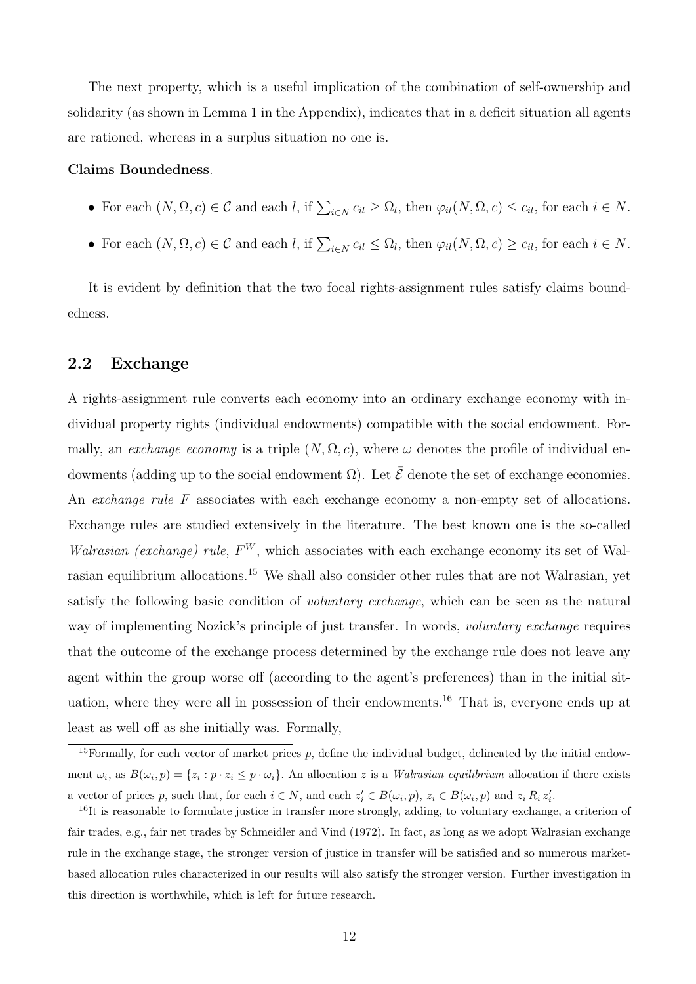The next property, which is a useful implication of the combination of self-ownership and solidarity (as shown in Lemma 1 in the Appendix), indicates that in a deficit situation all agents are rationed, whereas in a surplus situation no one is.

#### Claims Boundedness.

- For each  $(N, \Omega, c) \in \mathcal{C}$  and each *l*, if  $\sum_{i \in N} c_{i} \geq \Omega_{l}$ , then  $\varphi_{il}(N, \Omega, c) \leq c_{il}$ , for each  $i \in N$ .
- For each  $(N, \Omega, c) \in \mathcal{C}$  and each *l*, if  $\sum_{i \in N} c_{i} \leq \Omega_{l}$ , then  $\varphi_{il}(N, \Omega, c) \geq c_{il}$ , for each  $i \in N$ .

It is evident by definition that the two focal rights-assignment rules satisfy claims boundedness.

#### 2.2 Exchange

A rights-assignment rule converts each economy into an ordinary exchange economy with individual property rights (individual endowments) compatible with the social endowment. Formally, an *exchange economy* is a triple  $(N, \Omega, c)$ , where  $\omega$  denotes the profile of individual endowments (adding up to the social endowment  $\Omega$ ). Let  $\bar{\mathcal{E}}$  denote the set of exchange economies. An *exchange rule* F associates with each exchange economy a non-empty set of allocations. Exchange rules are studied extensively in the literature. The best known one is the so-called *Walrasian (exchange) rule*,  $F^W$ , which associates with each exchange economy its set of Walrasian equilibrium allocations.<sup>15</sup> We shall also consider other rules that are not Walrasian, yet satisfy the following basic condition of *voluntary exchange*, which can be seen as the natural way of implementing Nozick's principle of just transfer. In words, *voluntary exchange* requires that the outcome of the exchange process determined by the exchange rule does not leave any agent within the group worse off (according to the agent's preferences) than in the initial situation, where they were all in possession of their endowments.<sup>16</sup> That is, everyone ends up at least as well off as she initially was. Formally,

<sup>&</sup>lt;sup>15</sup>Formally, for each vector of market prices  $p$ , define the individual budget, delineated by the initial endowment  $\omega_i$ , as  $B(\omega_i, p) = \{z_i : p \cdot z_i \leq p \cdot \omega_i\}$ . An allocation z is a *Walrasian equilibrium* allocation if there exists a vector of prices p, such that, for each  $i \in N$ , and each  $z'_{i} \in B(\omega_{i}, p)$ ,  $z_{i} \in B(\omega_{i}, p)$  and  $z_{i} R_{i} z'_{i}$ .

 $16$ It is reasonable to formulate justice in transfer more strongly, adding, to voluntary exchange, a criterion of fair trades, e.g., fair net trades by Schmeidler and Vind (1972). In fact, as long as we adopt Walrasian exchange rule in the exchange stage, the stronger version of justice in transfer will be satisfied and so numerous marketbased allocation rules characterized in our results will also satisfy the stronger version. Further investigation in this direction is worthwhile, which is left for future research.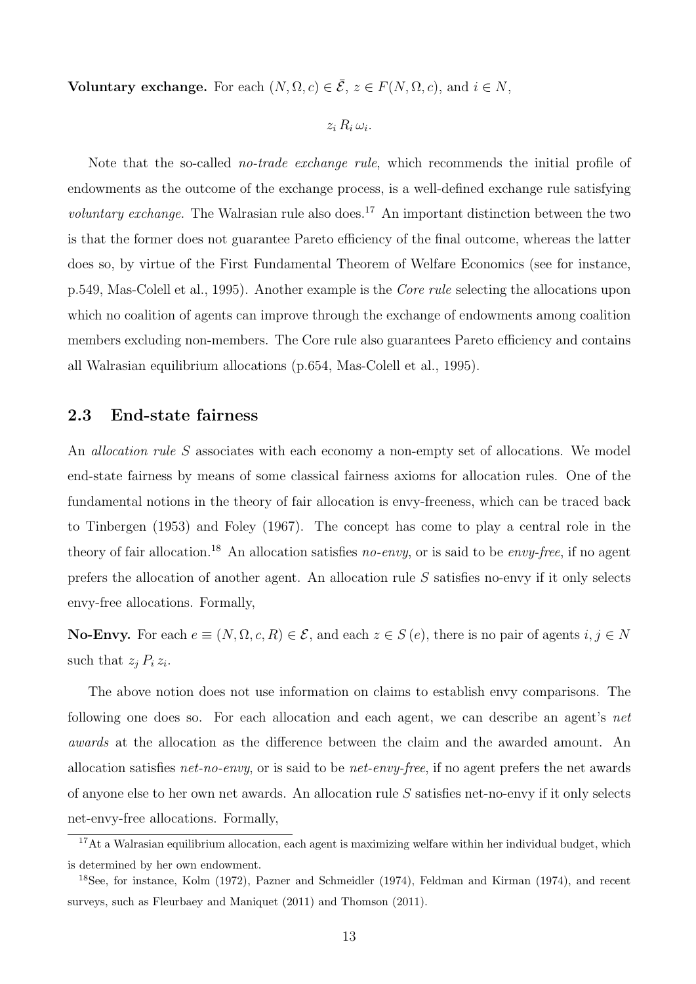Voluntary exchange. For each  $(N, \Omega, c) \in \overline{E}$ ,  $z \in F(N, \Omega, c)$ , and  $i \in N$ ,

$$
z_i R_i \omega_i.
$$

Note that the so-called *no-trade exchange rule*, which recommends the initial profile of endowments as the outcome of the exchange process, is a well-defined exchange rule satisfying *voluntary exchange*. The Walrasian rule also does.<sup>17</sup> An important distinction between the two is that the former does not guarantee Pareto efficiency of the final outcome, whereas the latter does so, by virtue of the First Fundamental Theorem of Welfare Economics (see for instance, p.549, Mas-Colell et al., 1995). Another example is the *Core rule* selecting the allocations upon which no coalition of agents can improve through the exchange of endowments among coalition members excluding non-members. The Core rule also guarantees Pareto efficiency and contains all Walrasian equilibrium allocations (p.654, Mas-Colell et al., 1995).

#### 2.3 End-state fairness

An *allocation rule S* associates with each economy a non-empty set of allocations. We model end-state fairness by means of some classical fairness axioms for allocation rules. One of the fundamental notions in the theory of fair allocation is envy-freeness, which can be traced back to Tinbergen (1953) and Foley (1967). The concept has come to play a central role in the theory of fair allocation.<sup>18</sup> An allocation satisfies *no-envy*, or is said to be *envy-free*, if no agent prefers the allocation of another agent. An allocation rule *S* satisfies no-envy if it only selects envy-free allocations. Formally,

**No-Envy.** For each  $e \equiv (N, \Omega, c, R) \in \mathcal{E}$ , and each  $z \in S(e)$ , there is no pair of agents  $i, j \in N$ such that  $z_j P_i z_i$ .

The above notion does not use information on claims to establish envy comparisons. The following one does so. For each allocation and each agent, we can describe an agent's *net awards* at the allocation as the difference between the claim and the awarded amount. An allocation satisfies *net-no-envy*, or is said to be *net-envy-free*, if no agent prefers the net awards of anyone else to her own net awards. An allocation rule *S* satisfies net-no-envy if it only selects net-envy-free allocations. Formally,

<sup>&</sup>lt;sup>17</sup>At a Walrasian equilibrium allocation, each agent is maximizing welfare within her individual budget, which is determined by her own endowment.

<sup>18</sup>See, for instance, Kolm (1972), Pazner and Schmeidler (1974), Feldman and Kirman (1974), and recent surveys, such as Fleurbaey and Maniquet (2011) and Thomson (2011).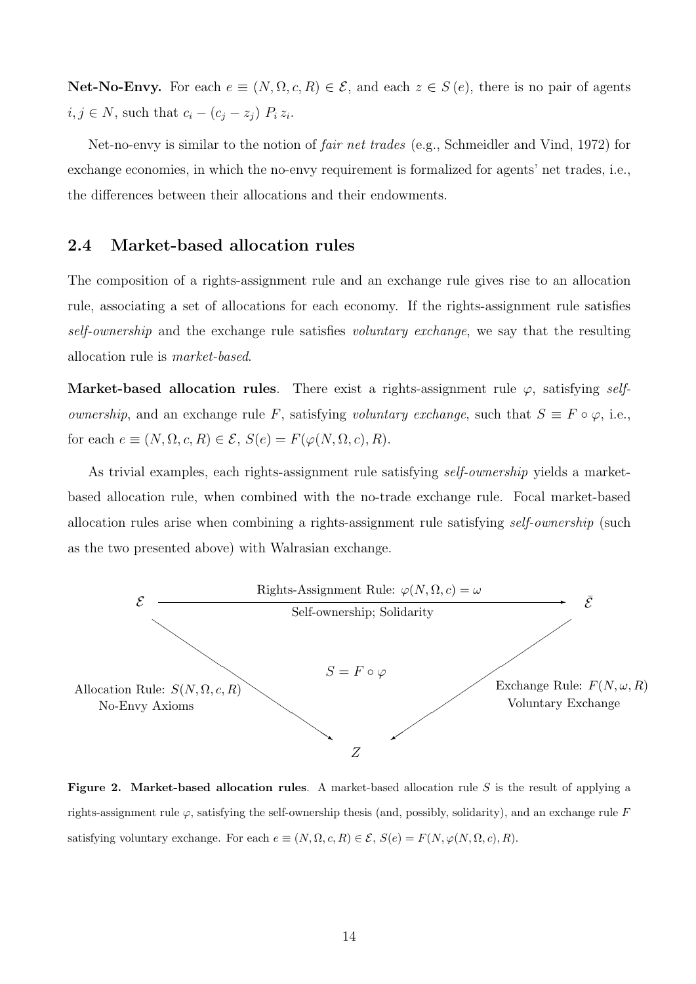Net-No-Envy. For each  $e \equiv (N, \Omega, c, R) \in \mathcal{E}$ , and each  $z \in S(e)$ , there is no pair of agents  $i, j \in N$ , such that  $c_i - (c_j - z_j) P_i z_i$ .

Net-no-envy is similar to the notion of *fair net trades* (e.g., Schmeidler and Vind, 1972) for exchange economies, in which the no-envy requirement is formalized for agents' net trades, i.e., the differences between their allocations and their endowments.

#### 2.4 Market-based allocation rules

The composition of a rights-assignment rule and an exchange rule gives rise to an allocation rule, associating a set of allocations for each economy. If the rights-assignment rule satisfies *self-ownership* and the exchange rule satisfies *voluntary exchange*, we say that the resulting allocation rule is *market-based*.

Market-based allocation rules. There exist a rights-assignment rule  $\varphi$ , satisfying *selfownership*, and an exchange rule *F*, satisfying *voluntary exchange*, such that  $S \equiv F \circ \varphi$ , i.e., for each  $e \equiv (N, \Omega, c, R) \in \mathcal{E}, S(e) = F(\varphi(N, \Omega, c), R)$ .

As trivial examples, each rights-assignment rule satisfying *self-ownership* yields a marketbased allocation rule, when combined with the no-trade exchange rule. Focal market-based allocation rules arise when combining a rights-assignment rule satisfying *self-ownership* (such as the two presented above) with Walrasian exchange.



Figure 2. Market-based allocation rules. A market-based allocation rule *S* is the result of applying a rights-assignment rule  $\varphi$ , satisfying the self-ownership thesis (and, possibly, solidarity), and an exchange rule *F* satisfying voluntary exchange. For each  $e \equiv (N, \Omega, c, R) \in \mathcal{E}$ ,  $S(e) = F(N, \varphi(N, \Omega, c), R)$ .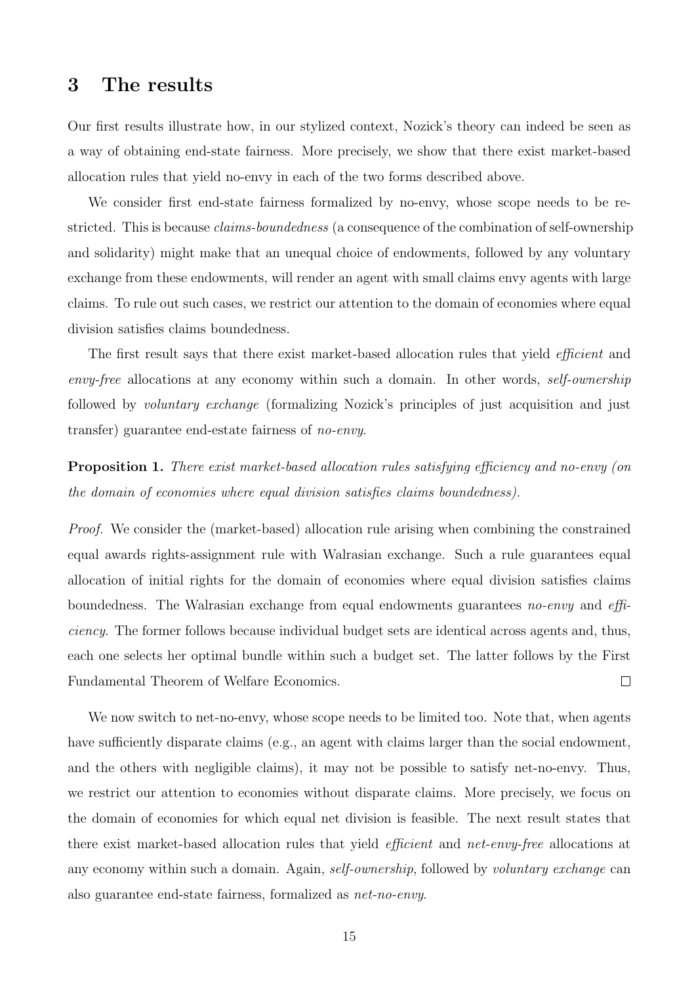### 3 The results

Our first results illustrate how, in our stylized context, Nozick's theory can indeed be seen as a way of obtaining end-state fairness. More precisely, we show that there exist market-based allocation rules that yield no-envy in each of the two forms described above.

We consider first end-state fairness formalized by no-envy, whose scope needs to be restricted. This is because *claims-boundedness* (a consequence of the combination of self-ownership and solidarity) might make that an unequal choice of endowments, followed by any voluntary exchange from these endowments, will render an agent with small claims envy agents with large claims. To rule out such cases, we restrict our attention to the domain of economies where equal division satisfies claims boundedness.

The first result says that there exist market-based allocation rules that yield *ecient* and *envy-free* allocations at any economy within such a domain. In other words, *self-ownership* followed by *voluntary exchange* (formalizing Nozick's principles of just acquisition and just transfer) guarantee end-estate fairness of *no-envy*.

Proposition 1. *There exist market-based allocation rules satisfying eciency and no-envy (on the domain of economies where equal division satisfies claims boundedness).*

*Proof.* We consider the (market-based) allocation rule arising when combining the constrained equal awards rights-assignment rule with Walrasian exchange. Such a rule guarantees equal allocation of initial rights for the domain of economies where equal division satisfies claims boundedness. The Walrasian exchange from equal endowments guarantees *no-envy* and *e ciency*. The former follows because individual budget sets are identical across agents and, thus, each one selects her optimal bundle within such a budget set. The latter follows by the First Fundamental Theorem of Welfare Economics.  $\Box$ 

We now switch to net-no-envy, whose scope needs to be limited too. Note that, when agents have sufficiently disparate claims (e.g., an agent with claims larger than the social endowment, and the others with negligible claims), it may not be possible to satisfy net-no-envy. Thus, we restrict our attention to economies without disparate claims. More precisely, we focus on the domain of economies for which equal net division is feasible. The next result states that there exist market-based allocation rules that yield *ecient* and *net-envy-free* allocations at any economy within such a domain. Again, *self-ownership*, followed by *voluntary exchange* can also guarantee end-state fairness, formalized as *net-no-envy*.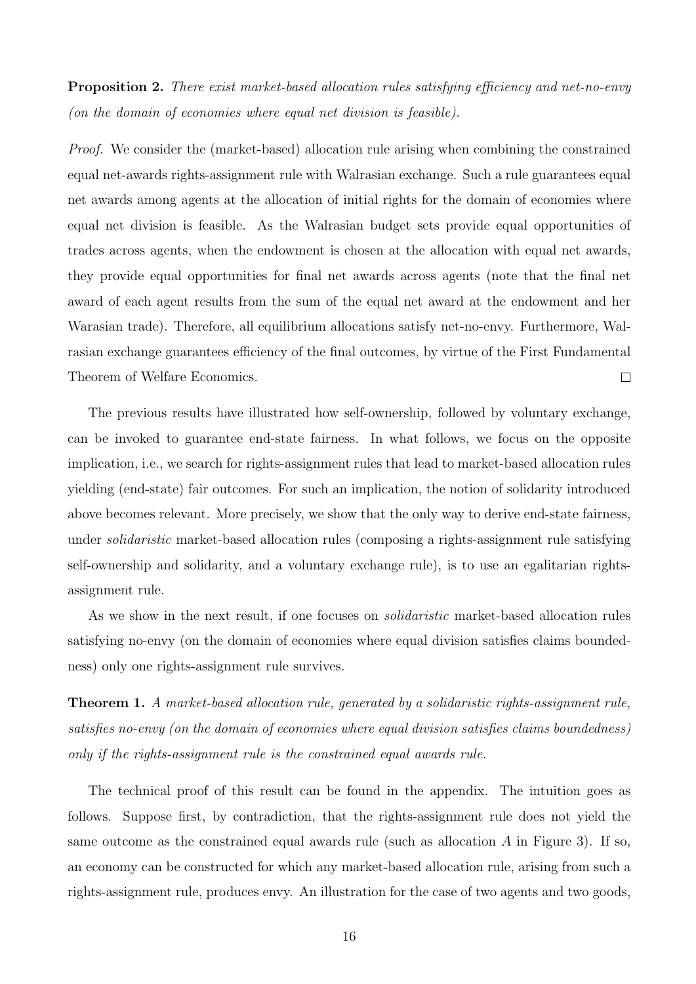Proposition 2. *There exist market-based allocation rules satisfying eciency and net-no-envy (on the domain of economies where equal net division is feasible).*

*Proof.* We consider the (market-based) allocation rule arising when combining the constrained equal net-awards rights-assignment rule with Walrasian exchange. Such a rule guarantees equal net awards among agents at the allocation of initial rights for the domain of economies where equal net division is feasible. As the Walrasian budget sets provide equal opportunities of trades across agents, when the endowment is chosen at the allocation with equal net awards, they provide equal opportunities for final net awards across agents (note that the final net award of each agent results from the sum of the equal net award at the endowment and her Warasian trade). Therefore, all equilibrium allocations satisfy net-no-envy. Furthermore, Walrasian exchange guarantees efficiency of the final outcomes, by virtue of the First Fundamental Theorem of Welfare Economics.  $\Box$ 

The previous results have illustrated how self-ownership, followed by voluntary exchange, can be invoked to guarantee end-state fairness. In what follows, we focus on the opposite implication, i.e., we search for rights-assignment rules that lead to market-based allocation rules yielding (end-state) fair outcomes. For such an implication, the notion of solidarity introduced above becomes relevant. More precisely, we show that the only way to derive end-state fairness, under *solidaristic* market-based allocation rules (composing a rights-assignment rule satisfying self-ownership and solidarity, and a voluntary exchange rule), is to use an egalitarian rightsassignment rule.

As we show in the next result, if one focuses on *solidaristic* market-based allocation rules satisfying no-envy (on the domain of economies where equal division satisfies claims boundedness) only one rights-assignment rule survives.

Theorem 1. *A market-based allocation rule, generated by a solidaristic rights-assignment rule, satisfies no-envy (on the domain of economies where equal division satisfies claims boundedness) only if the rights-assignment rule is the constrained equal awards rule.*

The technical proof of this result can be found in the appendix. The intuition goes as follows. Suppose first, by contradiction, that the rights-assignment rule does not yield the same outcome as the constrained equal awards rule (such as allocation *A* in Figure 3). If so, an economy can be constructed for which any market-based allocation rule, arising from such a rights-assignment rule, produces envy. An illustration for the case of two agents and two goods,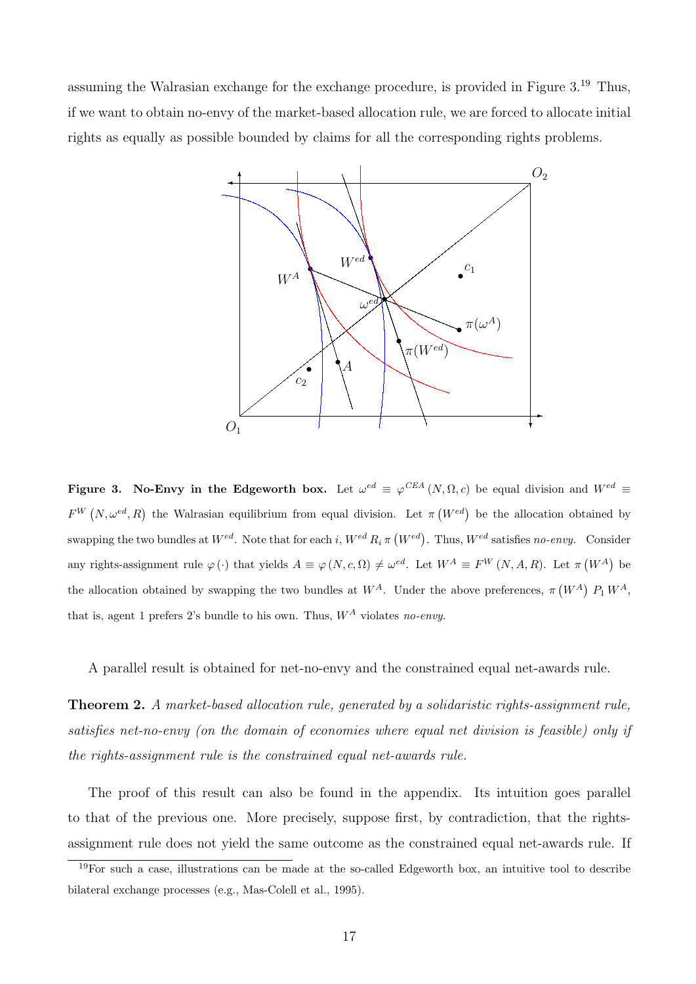assuming the Walrasian exchange for the exchange procedure, is provided in Figure 3.<sup>19</sup> Thus, if we want to obtain no-envy of the market-based allocation rule, we are forced to allocate initial rights as equally as possible bounded by claims for all the corresponding rights problems.



Figure 3. No-Envy in the Edgeworth box. Let  $\omega^{ed} \equiv \varphi^{CEA}(N, \Omega, c)$  be equal division and  $W^{ed} \equiv$  $F^{W}(N, \omega^{ed}, R)$  the Walrasian equilibrium from equal division. Let  $\pi (W^{ed})$  be the allocation obtained by swapping the two bundles at  $W^{ed}$ . Note that for each *i*,  $W^{ed}R_i \pi (W^{ed})$ . Thus,  $W^{ed}$  satisfies *no-envy*. Consider any rights-assignment rule  $\varphi(\cdot)$  that yields  $A \equiv \varphi(N, c, \Omega) \neq \omega^{ed}$ . Let  $W^A \equiv F^W(N, A, R)$ . Let  $\pi(W^A)$  be the allocation obtained by swapping the two bundles at  $W^A$ . Under the above preferences,  $\pi (W^A)$   $P_1 W^A$ , that is, agent 1 prefers 2's bundle to his own. Thus, *W<sup>A</sup>* violates *no-envy*.

A parallel result is obtained for net-no-envy and the constrained equal net-awards rule.

Theorem 2. *A market-based allocation rule, generated by a solidaristic rights-assignment rule, satisfies net-no-envy (on the domain of economies where equal net division is feasible) only if the rights-assignment rule is the constrained equal net-awards rule.*

The proof of this result can also be found in the appendix. Its intuition goes parallel to that of the previous one. More precisely, suppose first, by contradiction, that the rightsassignment rule does not yield the same outcome as the constrained equal net-awards rule. If

 $19\text{For such a case, illustrations can be made at the so-called Edgeworth box, an intuitive tool to describe.}$ bilateral exchange processes (e.g., Mas-Colell et al., 1995).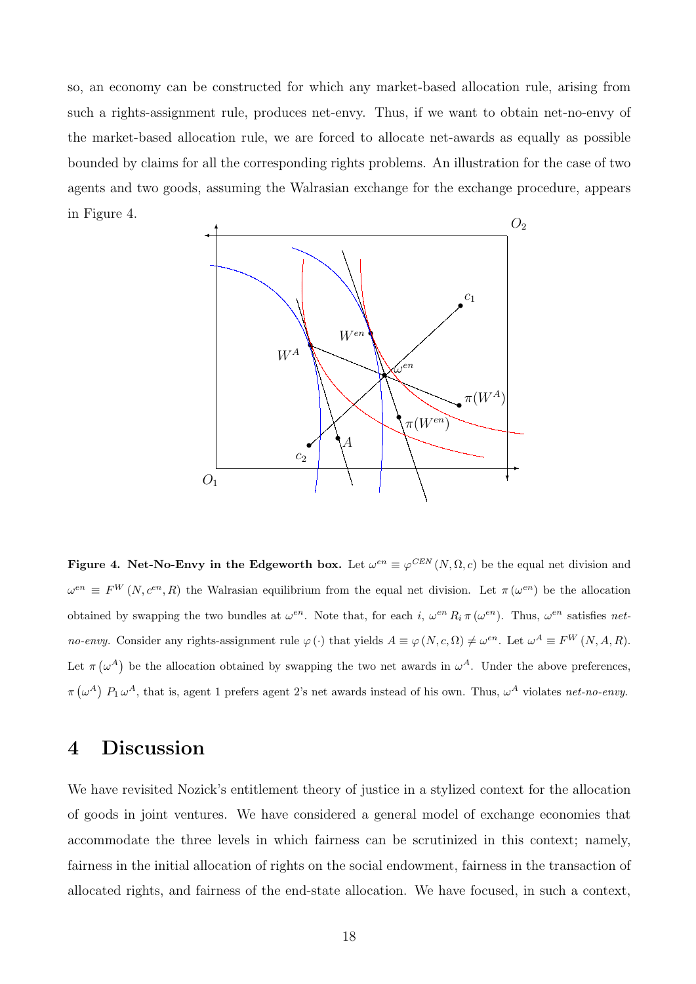so, an economy can be constructed for which any market-based allocation rule, arising from such a rights-assignment rule, produces net-envy. Thus, if we want to obtain net-no-envy of the market-based allocation rule, we are forced to allocate net-awards as equally as possible bounded by claims for all the corresponding rights problems. An illustration for the case of two agents and two goods, assuming the Walrasian exchange for the exchange procedure, appears in Figure 4.



Figure 4. Net-No-Envy in the Edgeworth box. Let  $\omega^{en} \equiv \varphi^{CEN}(N, \Omega, c)$  be the equal net division and  $\omega^{en} \equiv F^{W}(N, c^{en}, R)$  the Walrasian equilibrium from the equal net division. Let  $\pi(\omega^{en})$  be the allocation obtained by swapping the two bundles at  $\omega^{en}$ . Note that, for each *i*,  $\omega^{en} R_i \pi(\omega^{en})$ . Thus,  $\omega^{en}$  satisfies *netno-envy.* Consider any rights-assignment rule  $\varphi(\cdot)$  that yields  $A \equiv \varphi(N, c, \Omega) \neq \omega^{en}$ . Let  $\omega^A \equiv F^W(N, A, R)$ . Let  $\pi(\omega^A)$  be the allocation obtained by swapping the two net awards in  $\omega^A$ . Under the above preferences,  $\pi(\omega^A)$   $P_1 \omega^A$ , that is, agent 1 prefers agent 2's net awards instead of his own. Thus,  $\omega^A$  violates *net-no-envy*.

### 4 Discussion

We have revisited Nozick's entitlement theory of justice in a stylized context for the allocation of goods in joint ventures. We have considered a general model of exchange economies that accommodate the three levels in which fairness can be scrutinized in this context; namely, fairness in the initial allocation of rights on the social endowment, fairness in the transaction of allocated rights, and fairness of the end-state allocation. We have focused, in such a context,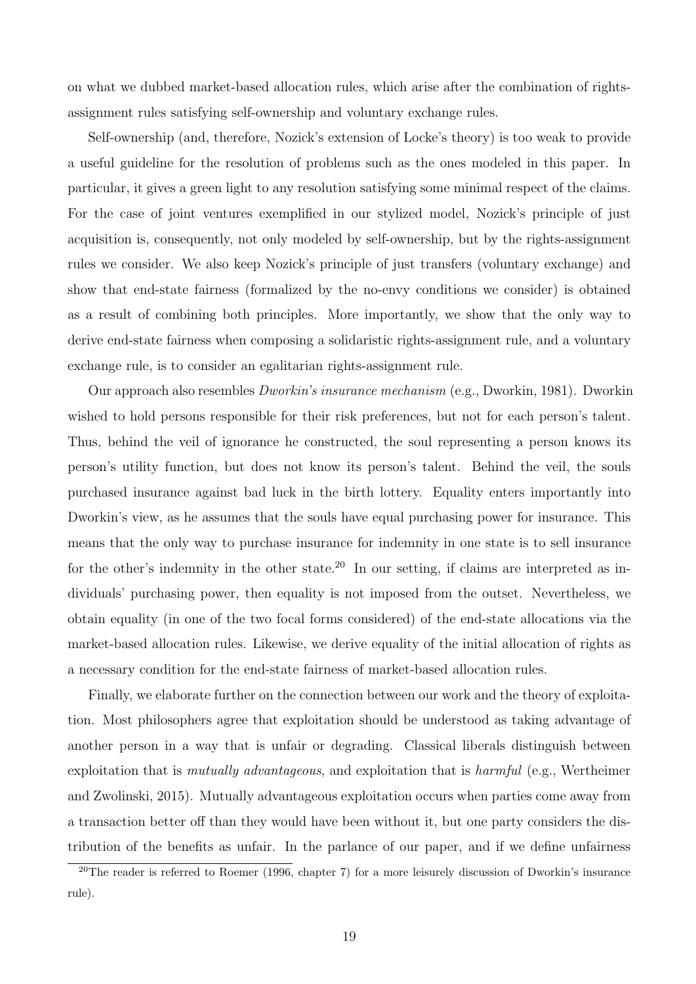on what we dubbed market-based allocation rules, which arise after the combination of rightsassignment rules satisfying self-ownership and voluntary exchange rules.

Self-ownership (and, therefore, Nozick's extension of Locke's theory) is too weak to provide a useful guideline for the resolution of problems such as the ones modeled in this paper. In particular, it gives a green light to any resolution satisfying some minimal respect of the claims. For the case of joint ventures exemplified in our stylized model, Nozick's principle of just acquisition is, consequently, not only modeled by self-ownership, but by the rights-assignment rules we consider. We also keep Nozick's principle of just transfers (voluntary exchange) and show that end-state fairness (formalized by the no-envy conditions we consider) is obtained as a result of combining both principles. More importantly, we show that the only way to derive end-state fairness when composing a solidaristic rights-assignment rule, and a voluntary exchange rule, is to consider an egalitarian rights-assignment rule.

Our approach also resembles *Dworkin's insurance mechanism* (e.g., Dworkin, 1981). Dworkin wished to hold persons responsible for their risk preferences, but not for each person's talent. Thus, behind the veil of ignorance he constructed, the soul representing a person knows its person's utility function, but does not know its person's talent. Behind the veil, the souls purchased insurance against bad luck in the birth lottery. Equality enters importantly into Dworkin's view, as he assumes that the souls have equal purchasing power for insurance. This means that the only way to purchase insurance for indemnity in one state is to sell insurance for the other's indemnity in the other state.<sup>20</sup> In our setting, if claims are interpreted as individuals' purchasing power, then equality is not imposed from the outset. Nevertheless, we obtain equality (in one of the two focal forms considered) of the end-state allocations via the market-based allocation rules. Likewise, we derive equality of the initial allocation of rights as a necessary condition for the end-state fairness of market-based allocation rules.

Finally, we elaborate further on the connection between our work and the theory of exploitation. Most philosophers agree that exploitation should be understood as taking advantage of another person in a way that is unfair or degrading. Classical liberals distinguish between exploitation that is *mutually advantageous*, and exploitation that is *harmful* (e.g., Wertheimer and Zwolinski, 2015). Mutually advantageous exploitation occurs when parties come away from a transaction better off than they would have been without it, but one party considers the distribution of the benefits as unfair. In the parlance of our paper, and if we define unfairness

<sup>&</sup>lt;sup>20</sup>The reader is referred to Roemer (1996, chapter 7) for a more leisurely discussion of Dworkin's insurance rule).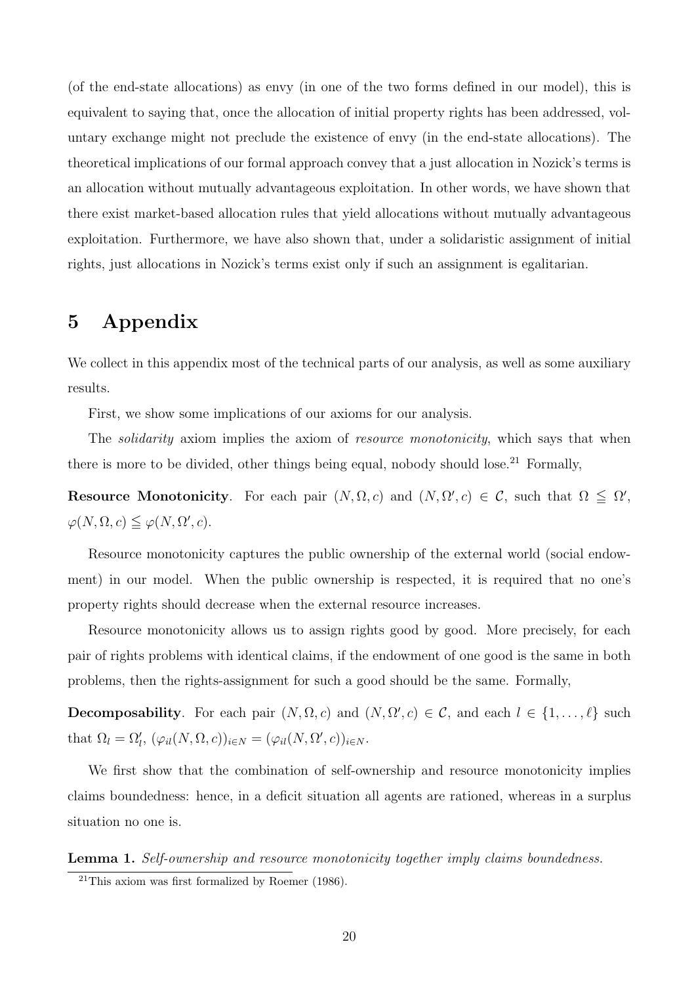(of the end-state allocations) as envy (in one of the two forms defined in our model), this is equivalent to saying that, once the allocation of initial property rights has been addressed, voluntary exchange might not preclude the existence of envy (in the end-state allocations). The theoretical implications of our formal approach convey that a just allocation in Nozick's terms is an allocation without mutually advantageous exploitation. In other words, we have shown that there exist market-based allocation rules that yield allocations without mutually advantageous exploitation. Furthermore, we have also shown that, under a solidaristic assignment of initial rights, just allocations in Nozick's terms exist only if such an assignment is egalitarian.

## 5 Appendix

We collect in this appendix most of the technical parts of our analysis, as well as some auxiliary results.

First, we show some implications of our axioms for our analysis.

The *solidarity* axiom implies the axiom of *resource monotonicity*, which says that when there is more to be divided, other things being equal, nobody should lose.<sup>21</sup> Formally,

**Resource Monotonicity**. For each pair  $(N, \Omega, c)$  and  $(N, \Omega', c) \in \mathcal{C}$ , such that  $\Omega \leq \Omega'$ ,  $\varphi(N,\Omega,c) \leqq \varphi(N,\Omega',c).$ 

Resource monotonicity captures the public ownership of the external world (social endowment) in our model. When the public ownership is respected, it is required that no one's property rights should decrease when the external resource increases.

Resource monotonicity allows us to assign rights good by good. More precisely, for each pair of rights problems with identical claims, if the endowment of one good is the same in both problems, then the rights-assignment for such a good should be the same. Formally,

Decomposability. For each pair  $(N, \Omega, c)$  and  $(N, \Omega', c) \in \mathcal{C}$ , and each  $l \in \{1, \ldots, \ell\}$  such that  $\Omega_l = \Omega'_l$ ,  $(\varphi_{il}(N, \Omega, c))_{i \in N} = (\varphi_{il}(N, \Omega', c))_{i \in N}$ .

We first show that the combination of self-ownership and resource monotonicity implies claims boundedness: hence, in a deficit situation all agents are rationed, whereas in a surplus situation no one is.

Lemma 1. *Self-ownership and resource monotonicity together imply claims boundedness.*

<sup>&</sup>lt;sup>21</sup>This axiom was first formalized by Roemer  $(1986)$ .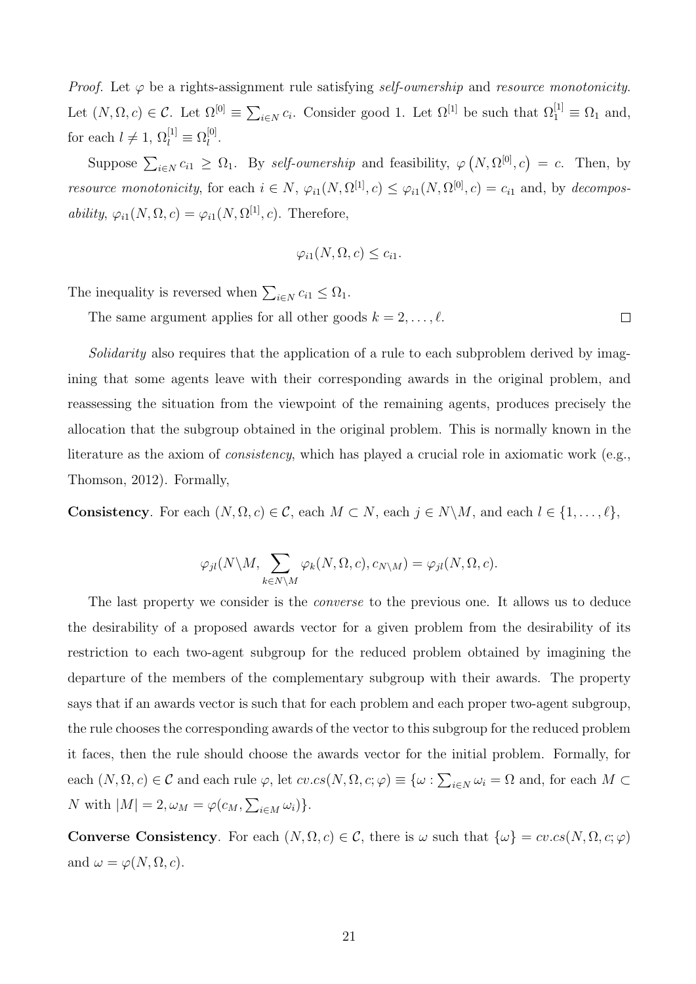*Proof.* Let  $\varphi$  be a rights-assignment rule satisfying *self-ownership* and *resource monotonicity*. Let  $(N, \Omega, c) \in \mathcal{C}$ . Let  $\Omega^{[0]} \equiv \sum_{i \in N} c_i$ . Consider good 1. Let  $\Omega^{[1]}$  be such that  $\Omega_1^{[1]} \equiv \Omega_1$  and, for each  $l \neq 1$ ,  $\Omega_l^{[1]} \equiv \Omega_l^{[0]}$ .

Suppose  $\sum_{i \in N} c_{i1} \geq \Omega_1$ . By *self-ownership* and feasibility,  $\varphi(N, \Omega^{[0]}, c) = c$ . Then, by *resource monotonicity*, for each  $i \in N$ ,  $\varphi_{i1}(N, \Omega^{[1]}, c) \leq \varphi_{i1}(N, \Omega^{[0]}, c) = c_{i1}$  and, by *decomposability*,  $\varphi_{i1}(N, \Omega, c) = \varphi_{i1}(N, \Omega^{[1]}, c)$ . Therefore,

$$
\varphi_{i1}(N,\Omega,c)\leq c_{i1}.
$$

 $\Box$ 

The inequality is reversed when  $\sum_{i \in N} c_{i1} \leq \Omega_1$ .

The same argument applies for all other goods  $k = 2, \ldots, \ell$ .

*Solidarity* also requires that the application of a rule to each subproblem derived by imagining that some agents leave with their corresponding awards in the original problem, and reassessing the situation from the viewpoint of the remaining agents, produces precisely the allocation that the subgroup obtained in the original problem. This is normally known in the literature as the axiom of *consistency*, which has played a crucial role in axiomatic work (e.g., Thomson, 2012). Formally,

**Consistency**. For each  $(N, \Omega, c) \in \mathcal{C}$ , each  $M \subset N$ , each  $j \in N \setminus M$ , and each  $l \in \{1, \ldots, \ell\}$ ,

$$
\varphi_{jl}(N \backslash M, \sum_{k \in N \backslash M} \varphi_k(N, \Omega, c), c_{N \backslash M}) = \varphi_{jl}(N, \Omega, c).
$$

The last property we consider is the *converse* to the previous one. It allows us to deduce the desirability of a proposed awards vector for a given problem from the desirability of its restriction to each two-agent subgroup for the reduced problem obtained by imagining the departure of the members of the complementary subgroup with their awards. The property says that if an awards vector is such that for each problem and each proper two-agent subgroup, the rule chooses the corresponding awards of the vector to this subgroup for the reduced problem it faces, then the rule should choose the awards vector for the initial problem. Formally, for each  $(N, \Omega, c) \in \mathcal{C}$  and each rule  $\varphi$ , let  $cv.cs(N, \Omega, c; \varphi) \equiv \{\omega : \sum_{i \in N} \omega_i = \Omega \text{ and, for each } M \subset \varphi\}$ *N* with  $|M| = 2, \omega_M = \varphi(c_M, \sum_{i \in M} \omega_i)$ .

**Converse Consistency**. For each  $(N, \Omega, c) \in \mathcal{C}$ , there is  $\omega$  such that  $\{\omega\} = cv.cs(N, \Omega, c; \varphi)$ and  $\omega = \varphi(N, \Omega, c)$ .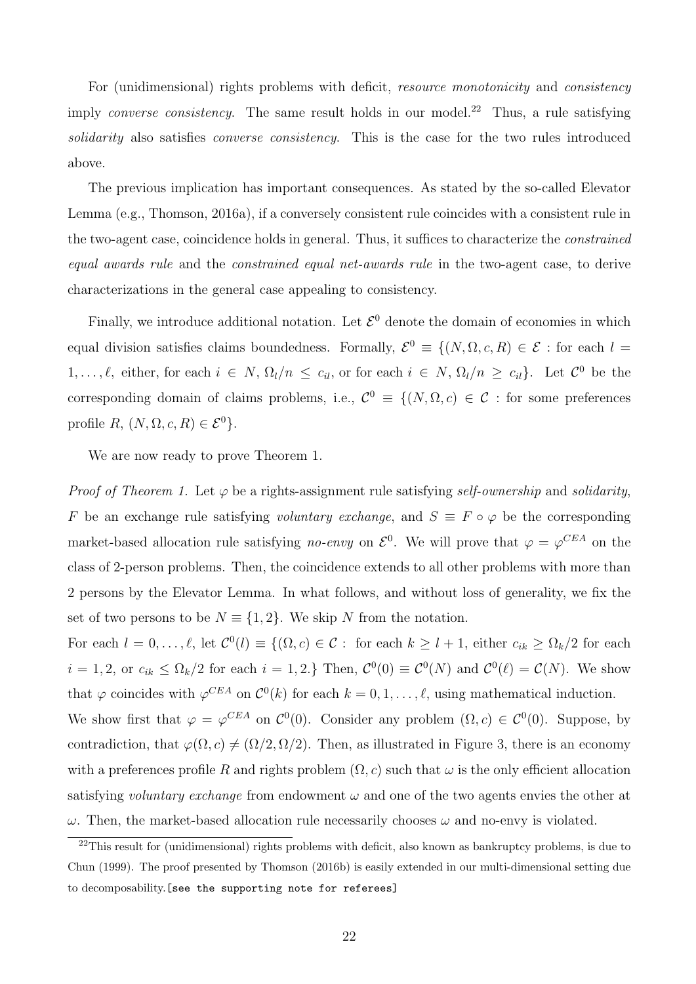For (unidimensional) rights problems with deficit, *resource monotonicity* and *consistency* imply *converse consistency*. The same result holds in our model.<sup>22</sup> Thus, a rule satisfying *solidarity* also satisfies *converse consistency*. This is the case for the two rules introduced above.

The previous implication has important consequences. As stated by the so-called Elevator Lemma (e.g., Thomson, 2016a), if a conversely consistent rule coincides with a consistent rule in the two-agent case, coincidence holds in general. Thus, it suffices to characterize the *constrained equal awards rule* and the *constrained equal net-awards rule* in the two-agent case, to derive characterizations in the general case appealing to consistency.

Finally, we introduce additional notation. Let  $\mathcal{E}^0$  denote the domain of economies in which equal division satisfies claims boundedness. Formally,  $\mathcal{E}^0 \equiv \{(N, \Omega, c, R) \in \mathcal{E} :$  for each  $l =$ 1,..., $\ell$ , either, for each  $i \in N$ ,  $\Omega_l/n \le c_{il}$ , or for each  $i \in N$ ,  $\Omega_l/n \ge c_{il}$ . Let  $\mathcal{C}^0$  be the corresponding domain of claims problems, i.e.,  $\mathcal{C}^0 \equiv \{(N, \Omega, c) \in \mathcal{C} : \text{for some preferences}\}$ profile  $R, (N, \Omega, c, R) \in \mathcal{E}^0$ .

We are now ready to prove Theorem 1.

*Proof of Theorem 1.* Let  $\varphi$  be a rights-assignment rule satisfying *self-ownership* and *solidarity*, *F* be an exchange rule satisfying *voluntary exchange*, and  $S \equiv F \circ \varphi$  be the corresponding market-based allocation rule satisfying *no-envy* on  $\mathcal{E}^0$ . We will prove that  $\varphi = \varphi^{CEA}$  on the class of 2-person problems. Then, the coincidence extends to all other problems with more than 2 persons by the Elevator Lemma. In what follows, and without loss of generality, we fix the set of two persons to be  $N \equiv \{1, 2\}$ . We skip N from the notation.

For each  $l = 0, \ldots, \ell$ , let  $\mathcal{C}^0(l) \equiv \{ (\Omega, c) \in \mathcal{C} : \text{ for each } k \geq l+1, \text{ either } c_{ik} \geq \Omega_k/2 \text{ for each } k \geq 0 \}$  $i = 1, 2$ , or  $c_{ik} \leq \Omega_k/2$  for each  $i = 1, 2$ *.}* Then,  $\mathcal{C}^0(0) \equiv \mathcal{C}^0(N)$  and  $\mathcal{C}^0(\ell) = \mathcal{C}(N)$ . We show that  $\varphi$  coincides with  $\varphi^{CEA}$  on  $\mathcal{C}^0(k)$  for each  $k = 0, 1, \ldots, \ell$ , using mathematical induction. We show first that  $\varphi = \varphi^{CEA}$  on  $\mathcal{C}^0(0)$ . Consider any problem  $(\Omega, c) \in \mathcal{C}^0(0)$ . Suppose, by contradiction, that  $\varphi(\Omega, c) \neq (\Omega/2, \Omega/2)$ . Then, as illustrated in Figure 3, there is an economy with a preferences profile R and rights problem  $(\Omega, c)$  such that  $\omega$  is the only efficient allocation satisfying *voluntary exchange* from endowment  $\omega$  and one of the two agents envies the other at  $\omega$ . Then, the market-based allocation rule necessarily chooses  $\omega$  and no-envy is violated.

 $22$ This result for (unidimensional) rights problems with deficit, also known as bankruptcy problems, is due to Chun (1999). The proof presented by Thomson (2016b) is easily extended in our multi-dimensional setting due to decomposability.[see the supporting note for referees]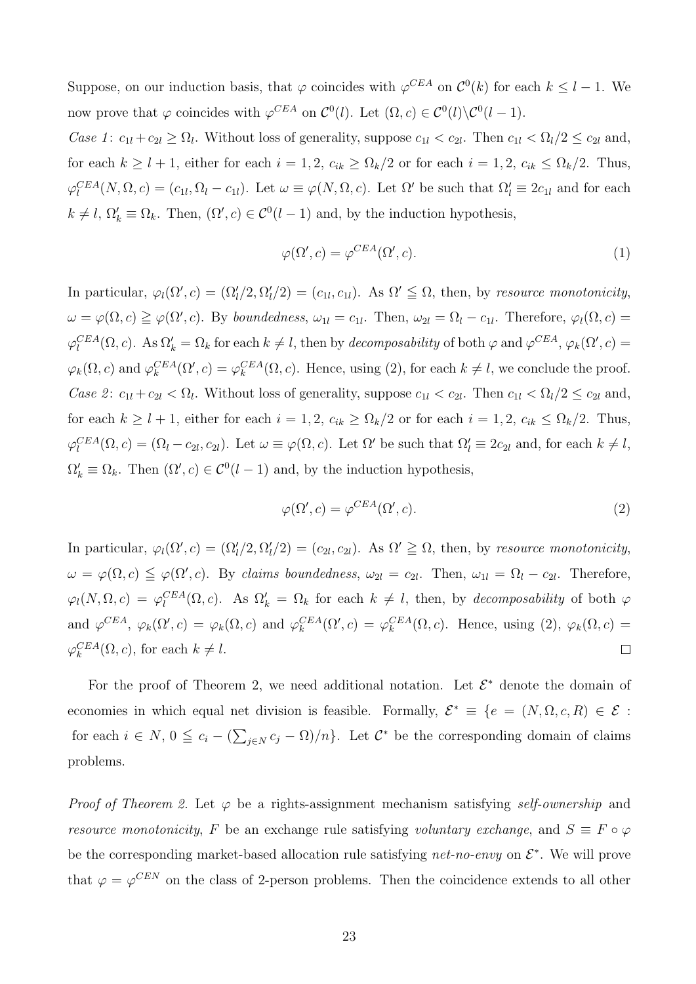Suppose, on our induction basis, that  $\varphi$  coincides with  $\varphi^{CEA}$  on  $\mathcal{C}^0(k)$  for each  $k \leq l-1$ . We now prove that  $\varphi$  coincides with  $\varphi^{CEA}$  on  $\mathcal{C}^0(l)$ . Let  $(\Omega, c) \in \mathcal{C}^0(l) \backslash \mathcal{C}^0(l-1)$ .

*Case 1*:  $c_{1l} + c_{2l} \ge \Omega_l$ . Without loss of generality, suppose  $c_{1l} < c_{2l}$ . Then  $c_{1l} < \Omega_l/2 \le c_{2l}$  and, for each  $k \geq l + 1$ , either for each  $i = 1, 2, c_{ik} \geq \Omega_k/2$  or for each  $i = 1, 2, c_{ik} \leq \Omega_k/2$ . Thus,  $\varphi_l^{CEA}(N, \Omega, c) = (c_{1l}, \Omega_l - c_{1l})$ . Let  $\omega \equiv \varphi(N, \Omega, c)$ . Let  $\Omega'$  be such that  $\Omega'_l \equiv 2c_{1l}$  and for each  $k \neq l$ ,  $\Omega'_k \equiv \Omega_k$ . Then,  $(\Omega', c) \in C^0(l-1)$  and, by the induction hypothesis,

$$
\varphi(\Omega', c) = \varphi^{CEA}(\Omega', c). \tag{1}
$$

In particular,  $\varphi_l(\Omega', c) = (\Omega'_l/2, \Omega'_l/2) = (c_{1l}, c_{1l})$ . As  $\Omega' \leq \Omega$ , then, by *resource monotonicity*,  $\omega = \varphi(\Omega, c) \geq \varphi(\Omega', c)$ . By *boundedness*,  $\omega_{1l} = c_{1l}$ . Then,  $\omega_{2l} = \Omega_l - c_{1l}$ . Therefore,  $\varphi_l(\Omega, c) =$  $\varphi_l^{CEA}(\Omega, c)$ . As  $\Omega'_k = \Omega_k$  for each  $k \neq l$ , then by *decomposability* of both  $\varphi$  and  $\varphi^{CEA}$ ,  $\varphi_k(\Omega', c) =$  $\varphi_k(\Omega, c)$  and  $\varphi_k^{CEA}(\Omega', c) = \varphi_k^{CEA}(\Omega, c)$ . Hence, using (2), for each  $k \neq l$ , we conclude the proof. *Case 2*:  $c_{1l} + c_{2l} < \Omega_l$ . Without loss of generality, suppose  $c_{1l} < c_{2l}$ . Then  $c_{1l} < \Omega_l/2 \le c_{2l}$  and, for each  $k \geq l + 1$ , either for each  $i = 1, 2, c_{ik} \geq \Omega_k/2$  or for each  $i = 1, 2, c_{ik} \leq \Omega_k/2$ . Thus,  $\varphi_l^{CEA}(\Omega, c) = (\Omega_l - c_{2l}, c_{2l})$ . Let  $\omega \equiv \varphi(\Omega, c)$ . Let  $\Omega'$  be such that  $\Omega'_l \equiv 2c_{2l}$  and, for each  $k \neq l$ ,  $\Omega'_k \equiv \Omega_k$ . Then  $(\Omega', c) \in C^0(l-1)$  and, by the induction hypothesis,

$$
\varphi(\Omega', c) = \varphi^{CEA}(\Omega', c). \tag{2}
$$

In particular,  $\varphi_l(\Omega', c) = (\Omega'_l/2, \Omega'_l/2) = (c_{2l}, c_{2l})$ . As  $\Omega' \geq \Omega$ , then, by *resource monotonicity*,  $\omega = \varphi(\Omega, c) \leqq \varphi(\Omega', c)$ . By *claims boundedness*,  $\omega_{2l} = c_{2l}$ . Then,  $\omega_{1l} = \Omega_l - c_{2l}$ . Therefore,  $\varphi_l(N, \Omega, c) = \varphi_l^{CEA}(\Omega, c)$ . As  $\Omega'_k = \Omega_k$  for each  $k \neq l$ , then, by *decomposability* of both  $\varphi$ and  $\varphi^{CEA}$ ,  $\varphi_k(\Omega', c) = \varphi_k(\Omega, c)$  and  $\varphi_k^{CEA}(\Omega', c) = \varphi_k^{CEA}(\Omega, c)$ . Hence, using (2),  $\varphi_k(\Omega, c) =$  $\varphi_k^{CEA}(\Omega, c)$ , for each  $k \neq l$ .  $\Box$ 

For the proof of Theorem 2, we need additional notation. Let  $\mathcal{E}^*$  denote the domain of economies in which equal net division is feasible. Formally,  $\mathcal{E}^* \equiv \{e = (N, \Omega, c, R) \in \mathcal{E}$ : for each  $i \in N$ ,  $0 \leq c_i - (\sum_{j \in N} c_j - \Omega)/n$ . Let  $C^*$  be the corresponding domain of claims problems.

*Proof of Theorem 2.* Let  $\varphi$  be a rights-assignment mechanism satisfying *self-ownership* and *resource monotonicity*, F be an exchange rule satisfying *voluntary exchange*, and  $S \equiv F \circ \varphi$ be the corresponding market-based allocation rule satisfying *net-no-envy* on  $\mathcal{E}^*$ . We will prove that  $\varphi = \varphi^{CEN}$  on the class of 2-person problems. Then the coincidence extends to all other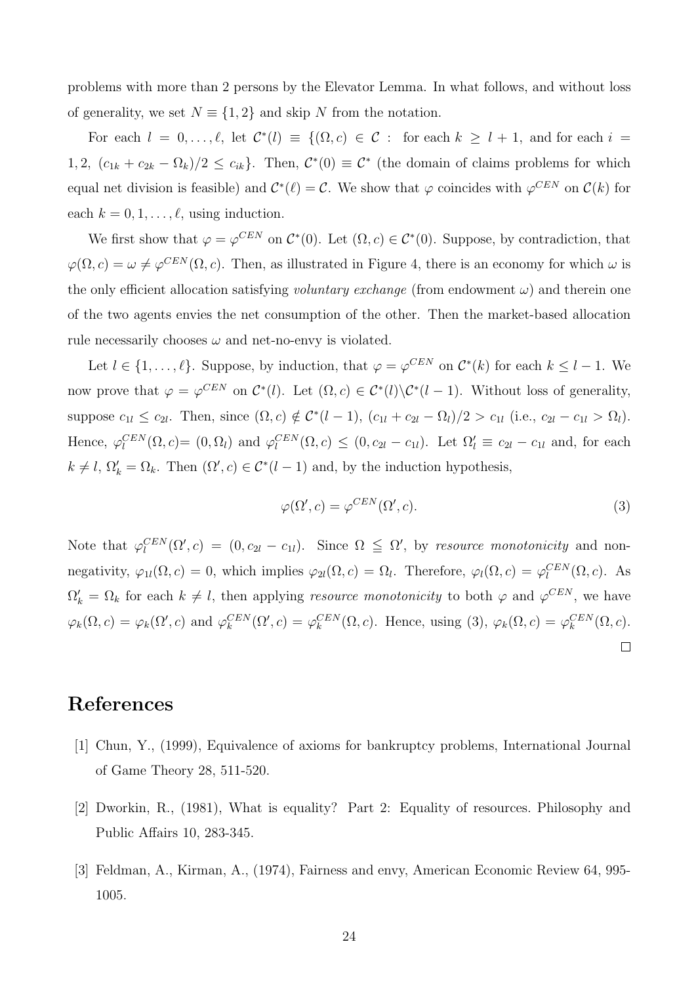problems with more than 2 persons by the Elevator Lemma. In what follows, and without loss of generality, we set  $N \equiv \{1, 2\}$  and skip N from the notation.

For each  $l = 0, \ldots, \ell$ , let  $C^*(l) \equiv \{(\Omega, c) \in C : \text{ for each } k \geq l + 1, \text{ and for each } i =$ 1, 2,  $(c_{1k} + c_{2k} - \Omega_k)/2 \leq c_{ik}$ . Then,  $C^*(0) \equiv C^*$  (the domain of claims problems for which equal net division is feasible) and  $C^*(\ell) = C$ . We show that  $\varphi$  coincides with  $\varphi^{CEN}$  on  $C(k)$  for each  $k = 0, 1, \ldots, \ell$ , using induction.

We first show that  $\varphi = \varphi^{CEN}$  on  $\mathcal{C}^*(0)$ . Let  $(\Omega, c) \in \mathcal{C}^*(0)$ . Suppose, by contradiction, that  $\varphi(\Omega, c) = \omega \neq \varphi^{CEN}(\Omega, c)$ . Then, as illustrated in Figure 4, there is an economy for which  $\omega$  is the only efficient allocation satisfying *voluntary exchange* (from endowment  $\omega$ ) and therein one of the two agents envies the net consumption of the other. Then the market-based allocation rule necessarily chooses  $\omega$  and net-no-envy is violated.

Let  $l \in \{1, \ldots, \ell\}$ . Suppose, by induction, that  $\varphi = \varphi^{CEN}$  on  $\mathcal{C}^*(k)$  for each  $k \leq l-1$ . We now prove that  $\varphi = \varphi^{CEN}$  on  $\mathcal{C}^*(l)$ . Let  $(\Omega, c) \in \mathcal{C}^*(l) \backslash \mathcal{C}^*(l-1)$ . Without loss of generality, suppose  $c_{1l} \le c_{2l}$ . Then, since  $(\Omega, c) \notin C^{*}(l-1)$ ,  $(c_{1l} + c_{2l} - \Omega_l)/2 > c_{1l}$  (i.e.,  $c_{2l} - c_{1l} > \Omega_l$ ). Hence,  $\varphi_l^{CEN}(\Omega, c) = (0, \Omega_l)$  and  $\varphi_l^{CEN}(\Omega, c) \leq (0, c_{2l} - c_{1l})$ . Let  $\Omega_l' \equiv c_{2l} - c_{1l}$  and, for each  $k \neq l$ ,  $\Omega'_k = \Omega_k$ . Then  $(\Omega', c) \in C^*(l-1)$  and, by the induction hypothesis,

$$
\varphi(\Omega', c) = \varphi^{CEN}(\Omega', c). \tag{3}
$$

Note that  $\varphi_l^{CEN}(\Omega', c) = (0, c_{2l} - c_{1l})$ . Since  $\Omega \leq \Omega'$ , by *resource monotonicity* and nonnegativity,  $\varphi_{1l}(\Omega, c) = 0$ , which implies  $\varphi_{2l}(\Omega, c) = \Omega_l$ . Therefore,  $\varphi_l(\Omega, c) = \varphi_l^{CEN}(\Omega, c)$ . As  $\Omega'_k = \Omega_k$  for each  $k \neq l$ , then applying *resource monotonicity* to both  $\varphi$  and  $\varphi^{CEN}$ , we have  $\varphi_k(\Omega, c) = \varphi_k(\Omega', c)$  and  $\varphi_k^{CEN}(\Omega', c) = \varphi_k^{CEN}(\Omega, c)$ . Hence, using (3),  $\varphi_k(\Omega, c) = \varphi_k^{CEN}(\Omega, c)$ .  $\Box$ 

## References

- [1] Chun, Y., (1999), Equivalence of axioms for bankruptcy problems, International Journal of Game Theory 28, 511-520.
- [2] Dworkin, R., (1981), What is equality? Part 2: Equality of resources. Philosophy and Public Affairs 10, 283-345.
- [3] Feldman, A., Kirman, A., (1974), Fairness and envy, American Economic Review 64, 995- 1005.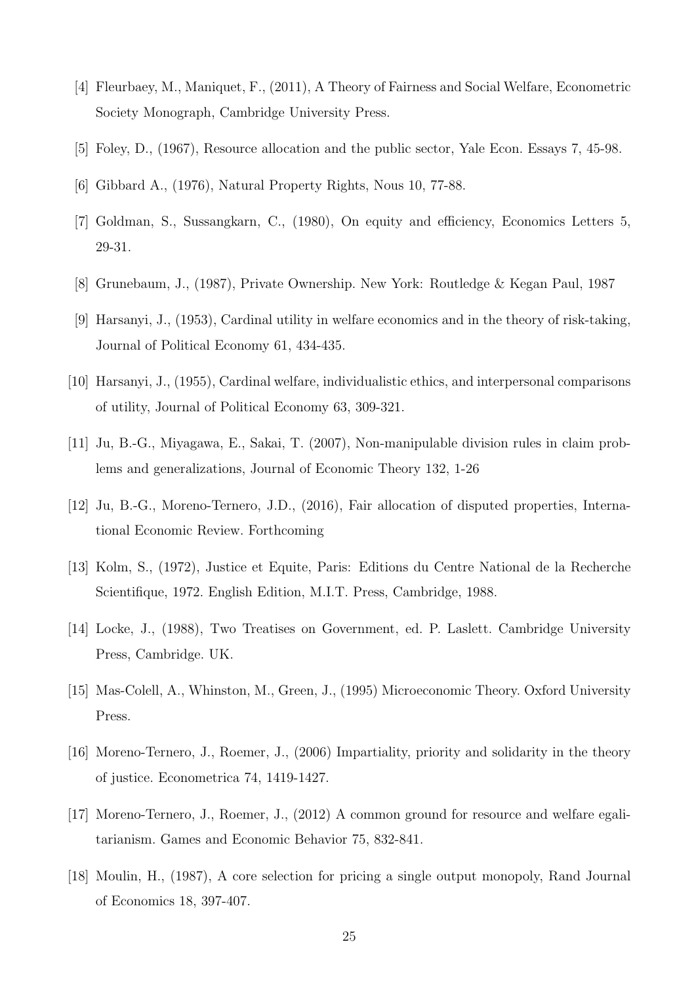- [4] Fleurbaey, M., Maniquet, F., (2011), A Theory of Fairness and Social Welfare, Econometric Society Monograph, Cambridge University Press.
- [5] Foley, D., (1967), Resource allocation and the public sector, Yale Econ. Essays 7, 45-98.
- [6] Gibbard A., (1976), Natural Property Rights, Nous 10, 77-88.
- [7] Goldman, S., Sussangkarn, C., (1980), On equity and efficiency, Economics Letters 5, 29-31.
- [8] Grunebaum, J., (1987), Private Ownership. New York: Routledge & Kegan Paul, 1987
- [9] Harsanyi, J., (1953), Cardinal utility in welfare economics and in the theory of risk-taking, Journal of Political Economy 61, 434-435.
- [10] Harsanyi, J., (1955), Cardinal welfare, individualistic ethics, and interpersonal comparisons of utility, Journal of Political Economy 63, 309-321.
- [11] Ju, B.-G., Miyagawa, E., Sakai, T. (2007), Non-manipulable division rules in claim problems and generalizations, Journal of Economic Theory 132, 1-26
- [12] Ju, B.-G., Moreno-Ternero, J.D., (2016), Fair allocation of disputed properties, International Economic Review. Forthcoming
- [13] Kolm, S., (1972), Justice et Equite, Paris: Editions du Centre National de la Recherche Scientifique, 1972. English Edition, M.I.T. Press, Cambridge, 1988.
- [14] Locke, J., (1988), Two Treatises on Government, ed. P. Laslett. Cambridge University Press, Cambridge. UK.
- [15] Mas-Colell, A., Whinston, M., Green, J., (1995) Microeconomic Theory. Oxford University Press.
- [16] Moreno-Ternero, J., Roemer, J., (2006) Impartiality, priority and solidarity in the theory of justice. Econometrica 74, 1419-1427.
- [17] Moreno-Ternero, J., Roemer, J., (2012) A common ground for resource and welfare egalitarianism. Games and Economic Behavior 75, 832-841.
- [18] Moulin, H., (1987), A core selection for pricing a single output monopoly, Rand Journal of Economics 18, 397-407.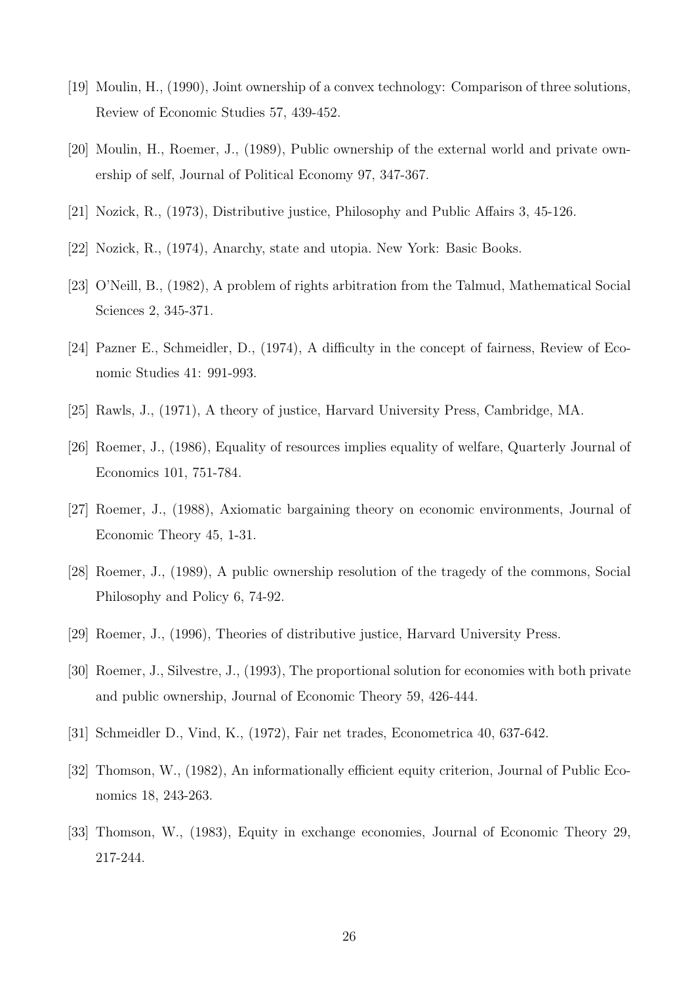- [19] Moulin, H., (1990), Joint ownership of a convex technology: Comparison of three solutions, Review of Economic Studies 57, 439-452.
- [20] Moulin, H., Roemer, J., (1989), Public ownership of the external world and private ownership of self, Journal of Political Economy 97, 347-367.
- [21] Nozick, R.,  $(1973)$ , Distributive justice, Philosophy and Public Affairs 3, 45-126.
- [22] Nozick, R., (1974), Anarchy, state and utopia. New York: Basic Books.
- [23] O'Neill, B., (1982), A problem of rights arbitration from the Talmud, Mathematical Social Sciences 2, 345-371.
- [24] Pazner E., Schmeidler, D.,  $(1974)$ , A difficulty in the concept of fairness, Review of Economic Studies 41: 991-993.
- [25] Rawls, J., (1971), A theory of justice, Harvard University Press, Cambridge, MA.
- [26] Roemer, J., (1986), Equality of resources implies equality of welfare, Quarterly Journal of Economics 101, 751-784.
- [27] Roemer, J., (1988), Axiomatic bargaining theory on economic environments, Journal of Economic Theory 45, 1-31.
- [28] Roemer, J., (1989), A public ownership resolution of the tragedy of the commons, Social Philosophy and Policy 6, 74-92.
- [29] Roemer, J., (1996), Theories of distributive justice, Harvard University Press.
- [30] Roemer, J., Silvestre, J., (1993), The proportional solution for economies with both private and public ownership, Journal of Economic Theory 59, 426-444.
- [31] Schmeidler D., Vind, K., (1972), Fair net trades, Econometrica 40, 637-642.
- [32] Thomson, W., (1982), An informationally efficient equity criterion, Journal of Public Economics 18, 243-263.
- [33] Thomson, W., (1983), Equity in exchange economies, Journal of Economic Theory 29, 217-244.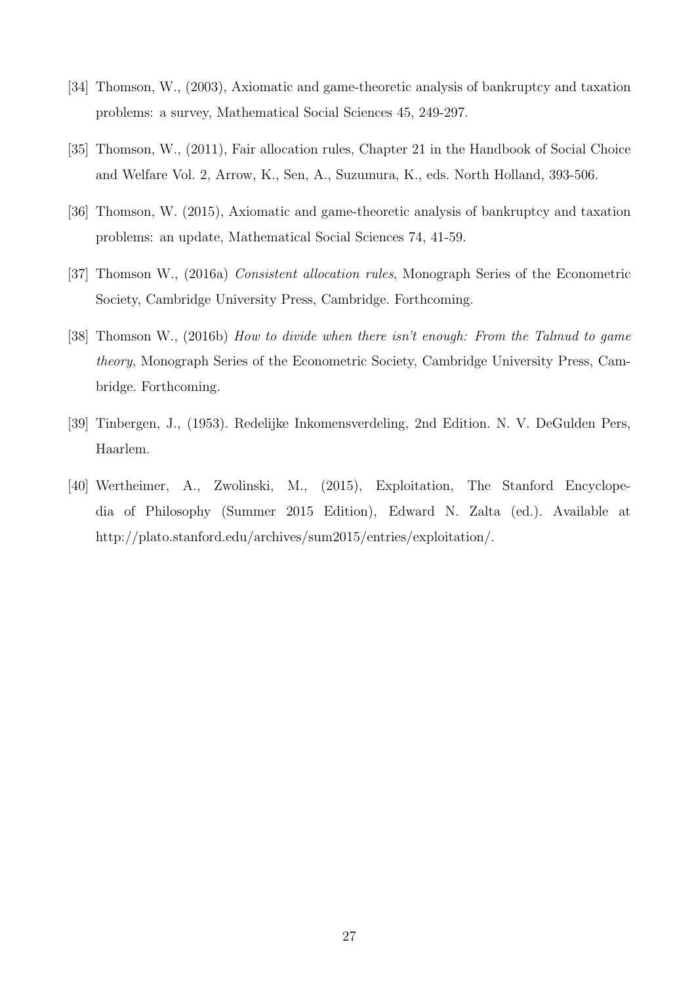- [34] Thomson, W., (2003), Axiomatic and game-theoretic analysis of bankruptcy and taxation problems: a survey, Mathematical Social Sciences 45, 249-297.
- [35] Thomson, W., (2011), Fair allocation rules, Chapter 21 in the Handbook of Social Choice and Welfare Vol. 2, Arrow, K., Sen, A., Suzumura, K., eds. North Holland, 393-506.
- [36] Thomson, W. (2015), Axiomatic and game-theoretic analysis of bankruptcy and taxation problems: an update, Mathematical Social Sciences 74, 41-59.
- [37] Thomson W., (2016a) *Consistent allocation rules*, Monograph Series of the Econometric Society, Cambridge University Press, Cambridge. Forthcoming.
- [38] Thomson W., (2016b) *How to divide when there isn't enough: From the Talmud to game theory*, Monograph Series of the Econometric Society, Cambridge University Press, Cambridge. Forthcoming.
- [39] Tinbergen, J., (1953). Redelijke Inkomensverdeling, 2nd Edition. N. V. DeGulden Pers, Haarlem.
- [40] Wertheimer, A., Zwolinski, M., (2015), Exploitation, The Stanford Encyclopedia of Philosophy (Summer 2015 Edition), Edward N. Zalta (ed.). Available at http://plato.stanford.edu/archives/sum2015/entries/exploitation/.